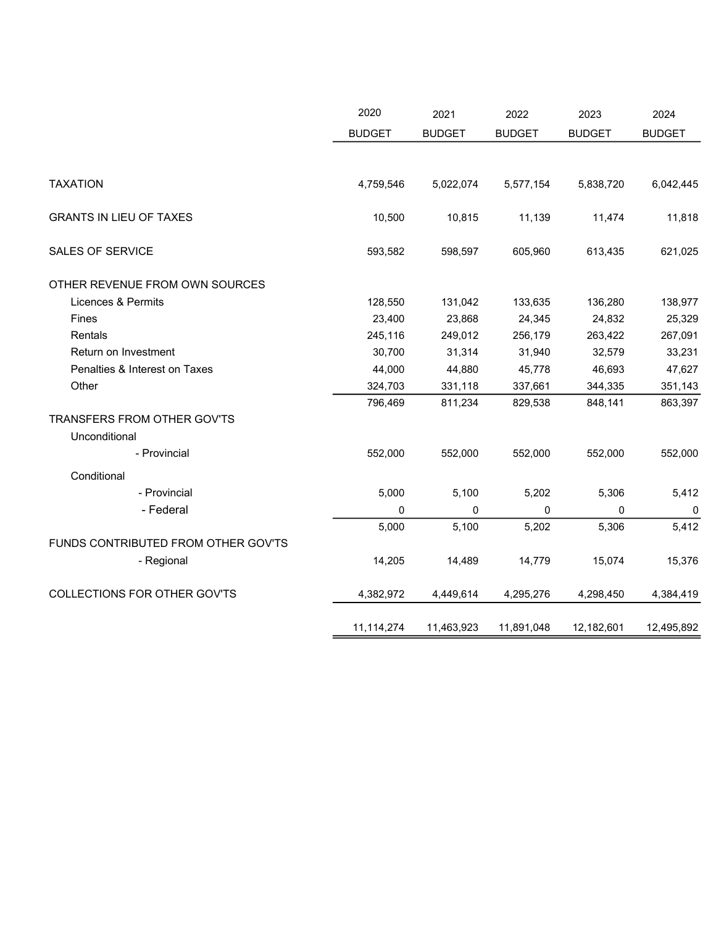|                                     | 2020          | 2021          | 2022          | 2023          | 2024          |
|-------------------------------------|---------------|---------------|---------------|---------------|---------------|
|                                     | <b>BUDGET</b> | <b>BUDGET</b> | <b>BUDGET</b> | <b>BUDGET</b> | <b>BUDGET</b> |
|                                     |               |               |               |               |               |
| <b>TAXATION</b>                     | 4,759,546     | 5,022,074     | 5,577,154     | 5,838,720     | 6,042,445     |
| <b>GRANTS IN LIEU OF TAXES</b>      | 10,500        | 10,815        | 11,139        | 11,474        | 11,818        |
| <b>SALES OF SERVICE</b>             | 593,582       | 598,597       | 605,960       | 613,435       | 621,025       |
| OTHER REVENUE FROM OWN SOURCES      |               |               |               |               |               |
| Licences & Permits                  | 128,550       | 131,042       | 133,635       | 136,280       | 138,977       |
| Fines                               | 23,400        | 23,868        | 24,345        | 24,832        | 25,329        |
| Rentals                             | 245,116       | 249,012       | 256,179       | 263,422       | 267,091       |
| Return on Investment                | 30,700        | 31,314        | 31,940        | 32,579        | 33,231        |
| Penalties & Interest on Taxes       | 44,000        | 44,880        | 45,778        | 46,693        | 47,627        |
| Other                               | 324,703       | 331,118       | 337,661       | 344,335       | 351,143       |
|                                     | 796,469       | 811,234       | 829,538       | 848,141       | 863,397       |
| TRANSFERS FROM OTHER GOV'TS         |               |               |               |               |               |
| Unconditional                       |               |               |               |               |               |
| - Provincial                        | 552,000       | 552,000       | 552,000       | 552,000       | 552,000       |
| Conditional                         |               |               |               |               |               |
| - Provincial                        | 5,000         | 5,100         | 5,202         | 5,306         | 5,412         |
| - Federal                           | $\mathbf{0}$  | 0             | $\Omega$      | 0             | 0             |
|                                     | 5,000         | 5,100         | 5,202         | 5,306         | 5,412         |
| FUNDS CONTRIBUTED FROM OTHER GOV'TS |               |               |               |               |               |
| - Regional                          | 14,205        | 14,489        | 14,779        | 15,074        | 15,376        |
| COLLECTIONS FOR OTHER GOV'TS        | 4,382,972     | 4,449,614     | 4,295,276     | 4,298,450     | 4,384,419     |
|                                     | 11,114,274    | 11,463,923    | 11,891,048    | 12,182,601    | 12,495,892    |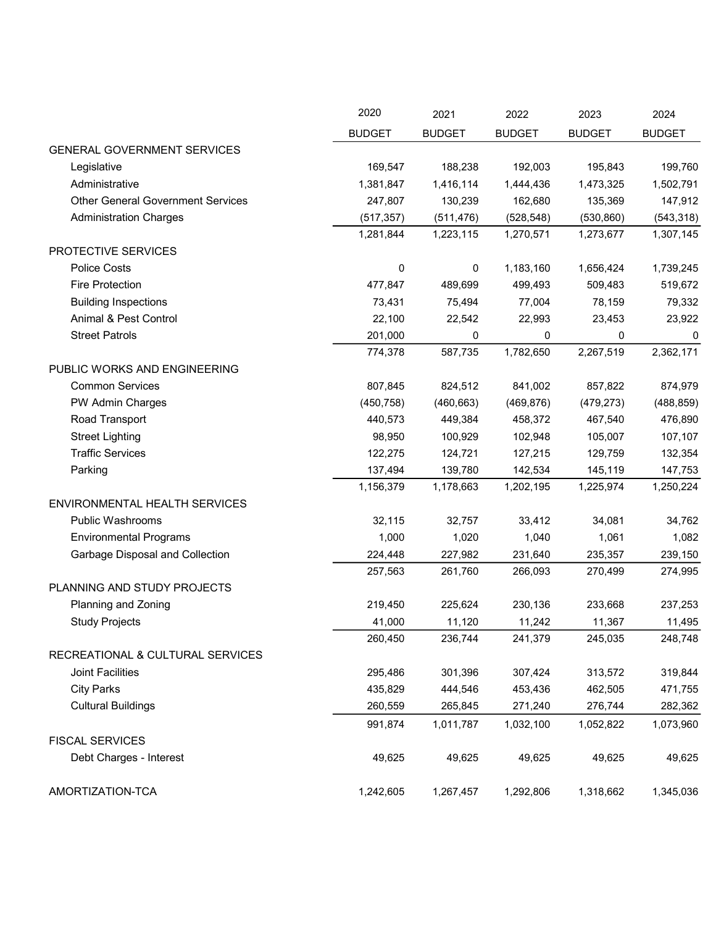|                                          | 2020          | 2021          | 2022          | 2023          | 2024          |
|------------------------------------------|---------------|---------------|---------------|---------------|---------------|
|                                          | <b>BUDGET</b> | <b>BUDGET</b> | <b>BUDGET</b> | <b>BUDGET</b> | <b>BUDGET</b> |
| <b>GENERAL GOVERNMENT SERVICES</b>       |               |               |               |               |               |
| Legislative                              | 169,547       | 188,238       | 192,003       | 195,843       | 199,760       |
| Administrative                           | 1,381,847     | 1,416,114     | 1,444,436     | 1,473,325     | 1,502,791     |
| <b>Other General Government Services</b> | 247,807       | 130,239       | 162,680       | 135,369       | 147,912       |
| <b>Administration Charges</b>            | (517, 357)    | (511, 476)    | (528, 548)    | (530, 860)    | (543, 318)    |
|                                          | 1,281,844     | 1,223,115     | 1,270,571     | 1,273,677     | 1,307,145     |
| PROTECTIVE SERVICES                      |               |               |               |               |               |
| <b>Police Costs</b>                      | 0             | 0             | 1,183,160     | 1,656,424     | 1,739,245     |
| <b>Fire Protection</b>                   | 477,847       | 489,699       | 499,493       | 509,483       | 519,672       |
| <b>Building Inspections</b>              | 73,431        | 75,494        | 77,004        | 78,159        | 79,332        |
| Animal & Pest Control                    | 22,100        | 22,542        | 22,993        | 23,453        | 23,922        |
| <b>Street Patrols</b>                    | 201,000       | 0             | 0             | 0             | 0             |
|                                          | 774,378       | 587,735       | 1,782,650     | 2,267,519     | 2,362,171     |
| PUBLIC WORKS AND ENGINEERING             |               |               |               |               |               |
| <b>Common Services</b>                   | 807,845       | 824,512       | 841,002       | 857,822       | 874,979       |
| PW Admin Charges                         | (450, 758)    | (460, 663)    | (469, 876)    | (479, 273)    | (488, 859)    |
| Road Transport                           | 440,573       | 449,384       | 458,372       | 467,540       | 476,890       |
| <b>Street Lighting</b>                   | 98,950        | 100,929       | 102,948       | 105,007       | 107,107       |
| <b>Traffic Services</b>                  | 122,275       | 124,721       | 127,215       | 129,759       | 132,354       |
| Parking                                  | 137,494       | 139,780       | 142,534       | 145,119       | 147,753       |
|                                          | 1,156,379     | 1,178,663     | 1,202,195     | 1,225,974     | 1,250,224     |
| <b>ENVIRONMENTAL HEALTH SERVICES</b>     |               |               |               |               |               |
| Public Washrooms                         | 32,115        | 32,757        | 33,412        | 34,081        | 34,762        |
| <b>Environmental Programs</b>            | 1,000         | 1,020         | 1,040         | 1,061         | 1,082         |
| Garbage Disposal and Collection          | 224,448       | 227,982       | 231,640       | 235,357       | 239,150       |
|                                          | 257,563       | 261,760       | 266,093       | 270,499       | 274,995       |
| PLANNING AND STUDY PROJECTS              |               |               |               |               |               |
| Planning and Zoning                      | 219,450       | 225,624       | 230,136       | 233,668       | 237,253       |
| <b>Study Projects</b>                    | 41,000        | 11,120        | 11,242        | 11,367        | 11,495        |
|                                          | 260,450       | 236,744       | 241,379       | 245,035       | 248,748       |
| RECREATIONAL & CULTURAL SERVICES         |               |               |               |               |               |
| Joint Facilities                         | 295,486       | 301,396       | 307,424       | 313,572       | 319,844       |
| <b>City Parks</b>                        | 435,829       | 444,546       | 453,436       | 462,505       | 471,755       |
| <b>Cultural Buildings</b>                | 260,559       | 265,845       | 271,240       | 276,744       | 282,362       |
|                                          | 991,874       | 1,011,787     | 1,032,100     | 1,052,822     | 1,073,960     |
| <b>FISCAL SERVICES</b>                   |               |               |               |               |               |
| Debt Charges - Interest                  | 49,625        | 49,625        | 49,625        | 49,625        | 49,625        |
| AMORTIZATION-TCA                         | 1,242,605     | 1,267,457     | 1,292,806     | 1,318,662     | 1,345,036     |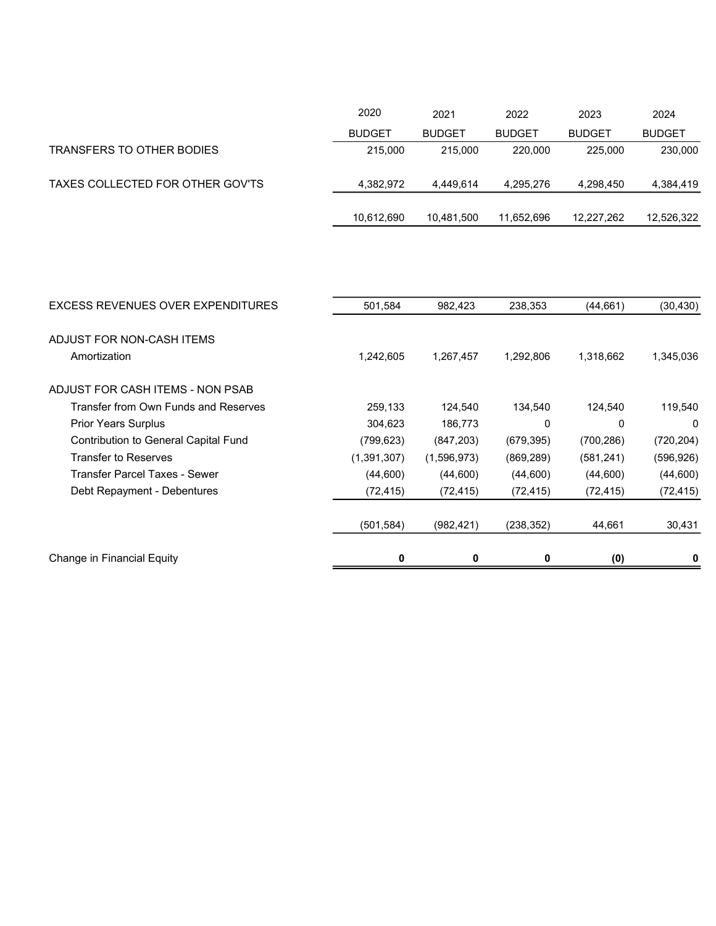|                                  | 2020          | 2021          | 2022          | 2023          | 2024          |
|----------------------------------|---------------|---------------|---------------|---------------|---------------|
|                                  | <b>BUDGET</b> | <b>BUDGET</b> | <b>BUDGET</b> | <b>BUDGET</b> | <b>BUDGET</b> |
| TRANSFERS TO OTHER BODIES        | 215,000       | 215,000       | 220,000       | 225,000       | 230,000       |
| TAXES COLLECTED FOR OTHER GOV'TS | 4.382.972     | 4.449.614     | 4.295.276     | 4.298.450     | 4,384,419     |
|                                  | 10,612,690    | 10,481,500    | 11,652,696    | 12,227,262    | 12,526,322    |

| EXCESS REVENUES OVER EXPENDITURES           | 501,584     | 982,423     | 238,353    | (44, 661)  | (30,430)   |
|---------------------------------------------|-------------|-------------|------------|------------|------------|
| ADJUST FOR NON-CASH ITEMS                   |             |             |            |            |            |
| Amortization                                | 1,242,605   | 1,267,457   | 1,292,806  | 1,318,662  | 1,345,036  |
| ADJUST FOR CASH ITEMS - NON PSAB            |             |             |            |            |            |
| Transfer from Own Funds and Reserves        | 259,133     | 124,540     | 134,540    | 124,540    | 119,540    |
| <b>Prior Years Surplus</b>                  | 304,623     | 186,773     | 0          | 0          | 0          |
| <b>Contribution to General Capital Fund</b> | (799,623)   | (847, 203)  | (679, 395) | (700, 286) | (720, 204) |
| <b>Transfer to Reserves</b>                 | (1,391,307) | (1,596,973) | (869, 289) | (581, 241) | (596, 926) |
| Transfer Parcel Taxes - Sewer               | (44,600)    | (44,600)    | (44,600)   | (44,600)   | (44,600)   |
| Debt Repayment - Debentures                 | (72, 415)   | (72, 415)   | (72, 415)  | (72, 415)  | (72, 415)  |
|                                             | (501,584)   | (982, 421)  | (238,352)  | 44,661     | 30,431     |
| Change in Financial Equity                  | 0           | 0           | 0          | (0)        | 0          |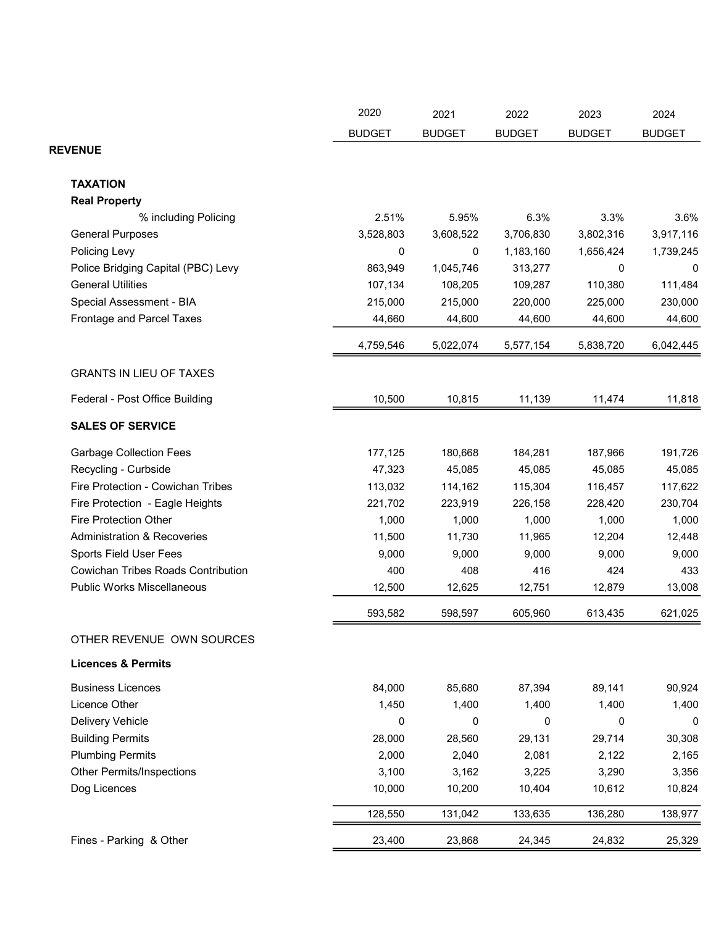|                                           | 2020          | 2021          | 2022          | 2023          | 2024          |
|-------------------------------------------|---------------|---------------|---------------|---------------|---------------|
|                                           | <b>BUDGET</b> | <b>BUDGET</b> | <b>BUDGET</b> | <b>BUDGET</b> | <b>BUDGET</b> |
| <b>REVENUE</b>                            |               |               |               |               |               |
| <b>TAXATION</b>                           |               |               |               |               |               |
| <b>Real Property</b>                      |               |               |               |               |               |
| % including Policing                      | 2.51%         | 5.95%         | 6.3%          | 3.3%          | 3.6%          |
| <b>General Purposes</b>                   | 3,528,803     | 3,608,522     | 3,706,830     | 3,802,316     | 3,917,116     |
| Policing Levy                             | 0             | 0             | 1,183,160     | 1,656,424     | 1,739,245     |
| Police Bridging Capital (PBC) Levy        | 863,949       | 1,045,746     | 313,277       | 0             | 0             |
| <b>General Utilities</b>                  | 107,134       | 108,205       | 109,287       | 110,380       | 111,484       |
| Special Assessment - BIA                  | 215,000       | 215,000       | 220,000       | 225,000       | 230,000       |
| Frontage and Parcel Taxes                 | 44,660        | 44,600        | 44,600        | 44,600        | 44,600        |
|                                           | 4,759,546     | 5,022,074     | 5,577,154     | 5,838,720     | 6,042,445     |
| <b>GRANTS IN LIEU OF TAXES</b>            |               |               |               |               |               |
| Federal - Post Office Building            | 10,500        | 10,815        | 11,139        | 11,474        | 11,818        |
| <b>SALES OF SERVICE</b>                   |               |               |               |               |               |
| <b>Garbage Collection Fees</b>            | 177,125       | 180,668       | 184,281       | 187,966       | 191,726       |
| Recycling - Curbside                      | 47,323        | 45,085        | 45,085        | 45,085        | 45,085        |
| Fire Protection - Cowichan Tribes         | 113,032       | 114,162       | 115,304       | 116,457       | 117,622       |
| Fire Protection - Eagle Heights           | 221,702       | 223,919       | 226,158       | 228,420       | 230,704       |
| <b>Fire Protection Other</b>              | 1,000         | 1,000         | 1,000         | 1,000         | 1,000         |
| <b>Administration &amp; Recoveries</b>    | 11,500        | 11,730        | 11,965        | 12,204        | 12,448        |
| Sports Field User Fees                    | 9,000         | 9,000         | 9,000         | 9,000         | 9,000         |
| <b>Cowichan Tribes Roads Contribution</b> | 400           | 408           | 416           | 424           | 433           |
| <b>Public Works Miscellaneous</b>         | 12,500        | 12,625        | 12,751        | 12,879        | 13,008        |
|                                           | 593,582       | 598,597       | 605,960       | 613,435       | 621,025       |
| OTHER REVENUE OWN SOURCES                 |               |               |               |               |               |
| <b>Licences &amp; Permits</b>             |               |               |               |               |               |
| <b>Business Licences</b>                  | 84,000        | 85,680        | 87,394        | 89,141        | 90,924        |
| Licence Other                             | 1,450         | 1,400         | 1,400         | 1,400         | 1,400         |
| Delivery Vehicle                          | 0             | 0             | 0             | 0             | 0             |
| <b>Building Permits</b>                   | 28,000        | 28,560        | 29,131        | 29,714        | 30,308        |
| <b>Plumbing Permits</b>                   | 2,000         | 2,040         | 2,081         | 2,122         | 2,165         |
| <b>Other Permits/Inspections</b>          | 3,100         | 3,162         | 3,225         | 3,290         | 3,356         |
| Dog Licences                              | 10,000        | 10,200        | 10,404        | 10,612        | 10,824        |
|                                           | 128,550       | 131,042       | 133,635       | 136,280       | 138,977       |
| Fines - Parking & Other                   | 23,400        | 23,868        | 24,345        | 24,832        | 25,329        |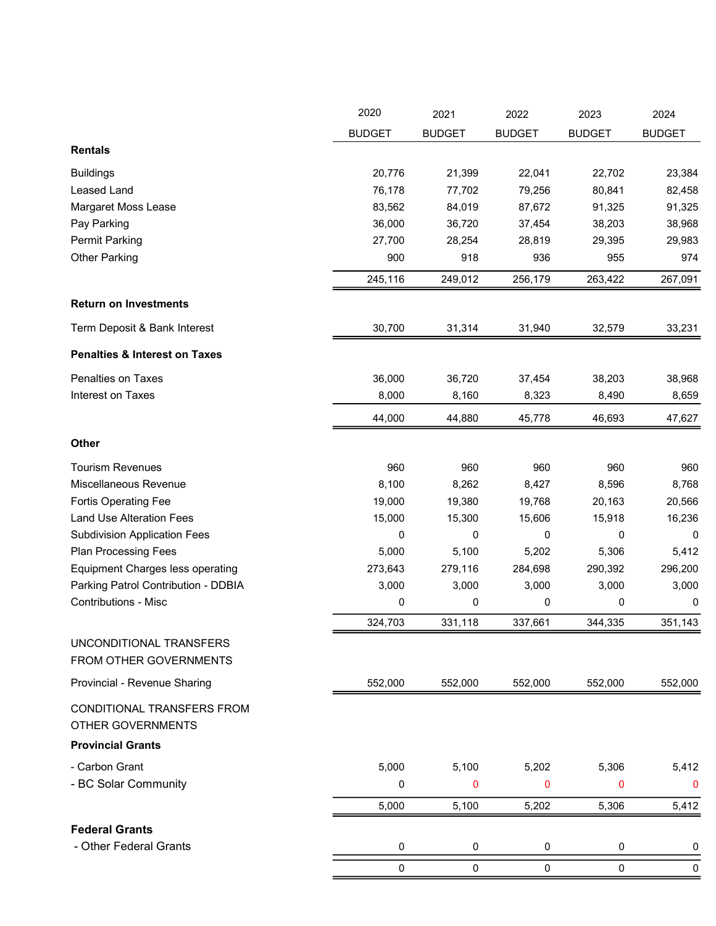|                                                        | 2020          | 2021          | 2022          | 2023          | 2024          |
|--------------------------------------------------------|---------------|---------------|---------------|---------------|---------------|
|                                                        | <b>BUDGET</b> | <b>BUDGET</b> | <b>BUDGET</b> | <b>BUDGET</b> | <b>BUDGET</b> |
| <b>Rentals</b>                                         |               |               |               |               |               |
| <b>Buildings</b>                                       | 20,776        | 21,399        | 22,041        | 22,702        | 23,384        |
| Leased Land                                            | 76,178        | 77,702        | 79,256        | 80,841        | 82,458        |
| Margaret Moss Lease                                    | 83,562        | 84,019        | 87,672        | 91,325        | 91,325        |
| Pay Parking                                            | 36,000        | 36,720        | 37,454        | 38,203        | 38,968        |
| <b>Permit Parking</b>                                  | 27,700        | 28,254        | 28,819        | 29,395        | 29,983        |
| <b>Other Parking</b>                                   | 900           | 918           | 936           | 955           | 974           |
|                                                        | 245,116       | 249,012       | 256,179       | 263,422       | 267,091       |
| <b>Return on Investments</b>                           |               |               |               |               |               |
| Term Deposit & Bank Interest                           | 30,700        | 31,314        | 31,940        | 32,579        | 33,231        |
| <b>Penalties &amp; Interest on Taxes</b>               |               |               |               |               |               |
| Penalties on Taxes                                     | 36,000        | 36,720        | 37,454        | 38,203        | 38,968        |
| Interest on Taxes                                      | 8,000         | 8,160         | 8,323         | 8,490         | 8,659         |
|                                                        | 44,000        | 44,880        | 45,778        | 46,693        | 47,627        |
| Other                                                  |               |               |               |               |               |
| <b>Tourism Revenues</b>                                | 960           | 960           | 960           | 960           | 960           |
| Miscellaneous Revenue                                  | 8,100         | 8,262         | 8,427         | 8,596         | 8,768         |
| <b>Fortis Operating Fee</b>                            | 19,000        | 19,380        | 19,768        | 20,163        | 20,566        |
| <b>Land Use Alteration Fees</b>                        | 15,000        | 15,300        | 15,606        | 15,918        | 16,236        |
| <b>Subdivision Application Fees</b>                    | 0             | 0             | 0             | 0             | 0             |
| <b>Plan Processing Fees</b>                            | 5,000         | 5,100         | 5,202         | 5,306         | 5,412         |
| <b>Equipment Charges less operating</b>                | 273,643       | 279,116       | 284,698       | 290,392       | 296,200       |
| Parking Patrol Contribution - DDBIA                    | 3,000         | 3,000         | 3,000         | 3,000         | 3,000         |
| <b>Contributions - Misc</b>                            | 0             | 0             | 0             | 0             | 0             |
|                                                        | 324,703       | 331,118       | 337,661       | 344,335       | 351,143       |
| UNCONDITIONAL TRANSFERS<br>FROM OTHER GOVERNMENTS      |               |               |               |               |               |
| Provincial - Revenue Sharing                           | 552,000       | 552,000       | 552,000       | 552,000       | 552,000       |
| CONDITIONAL TRANSFERS FROM<br><b>OTHER GOVERNMENTS</b> |               |               |               |               |               |
| <b>Provincial Grants</b>                               |               |               |               |               |               |
| - Carbon Grant                                         | 5,000         | 5,100         | 5,202         | 5,306         | 5,412         |
| - BC Solar Community                                   | 0             | 0             | 0             | 0             | 0             |
|                                                        | 5,000         | 5,100         | 5,202         | 5,306         | 5,412         |
| <b>Federal Grants</b>                                  |               |               |               |               |               |
| - Other Federal Grants                                 | 0             | $\pmb{0}$     | 0             | 0             | 0             |
|                                                        | 0             | $\pmb{0}$     | $\pmb{0}$     | 0             | 0             |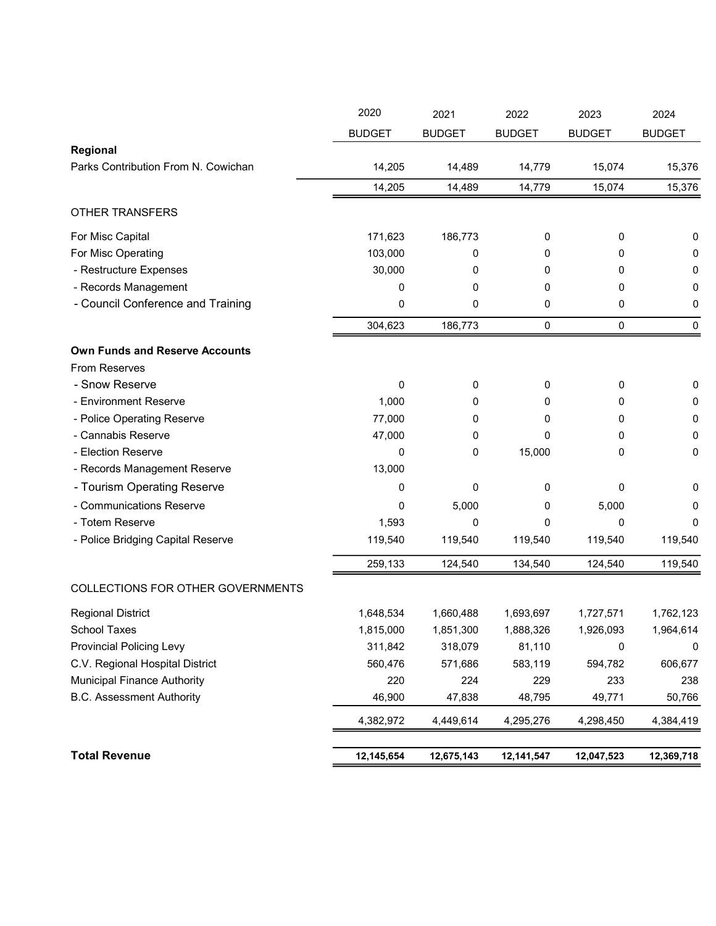|                                       | 2020          | 2021          | 2022          | 2023          | 2024          |
|---------------------------------------|---------------|---------------|---------------|---------------|---------------|
|                                       | <b>BUDGET</b> | <b>BUDGET</b> | <b>BUDGET</b> | <b>BUDGET</b> | <b>BUDGET</b> |
| Regional                              |               |               |               |               |               |
| Parks Contribution From N. Cowichan   | 14,205        | 14,489        | 14,779        | 15,074        | 15,376        |
|                                       | 14,205        | 14,489        | 14,779        | 15,074        | 15,376        |
| <b>OTHER TRANSFERS</b>                |               |               |               |               |               |
| For Misc Capital                      | 171,623       | 186,773       | 0             | 0             | 0             |
| For Misc Operating                    | 103,000       | 0             | 0             | 0             | 0             |
| - Restructure Expenses                | 30,000        | 0             | 0             | 0             | 0             |
| - Records Management                  | 0             | 0             | 0             | 0             | 0             |
| - Council Conference and Training     | 0             | 0             | 0             | 0             | 0             |
|                                       | 304,623       | 186,773       | 0             | 0             | $\mathbf 0$   |
| <b>Own Funds and Reserve Accounts</b> |               |               |               |               |               |
| <b>From Reserves</b>                  |               |               |               |               |               |
| - Snow Reserve                        | 0             | 0             | 0             | 0             | 0             |
| - Environment Reserve                 | 1,000         | 0             | 0             | 0             | 0             |
| - Police Operating Reserve            | 77,000        | 0             | 0             | 0             | 0             |
| - Cannabis Reserve                    | 47,000        | 0             | 0             | 0             | 0             |
| - Election Reserve                    | 0             | 0             | 15,000        | 0             | 0             |
| - Records Management Reserve          | 13,000        |               |               |               |               |
| - Tourism Operating Reserve           | 0             | 0             | 0             | 0             | 0             |
| - Communications Reserve              | 0             | 5,000         | 0             | 5,000         | 0             |
| - Totem Reserve                       | 1,593         | 0             | 0             | 0             | 0             |
| - Police Bridging Capital Reserve     | 119,540       | 119,540       | 119,540       | 119,540       | 119,540       |
|                                       | 259,133       | 124,540       | 134,540       | 124,540       | 119,540       |
| COLLECTIONS FOR OTHER GOVERNMENTS     |               |               |               |               |               |
| <b>Regional District</b>              | 1,648,534     | 1,660,488     | 1,693,697     | 1,727,571     | 1,762,123     |
| <b>School Taxes</b>                   | 1,815,000     | 1,851,300     | 1,888,326     | 1,926,093     | 1,964,614     |
| <b>Provincial Policing Levy</b>       | 311,842       | 318,079       | 81,110        | 0             | 0             |
| C.V. Regional Hospital District       | 560,476       | 571,686       | 583,119       | 594,782       | 606,677       |
| <b>Municipal Finance Authority</b>    | 220           | 224           | 229           | 233           | 238           |
| <b>B.C. Assessment Authority</b>      | 46,900        | 47,838        | 48,795        | 49,771        | 50,766        |
|                                       | 4,382,972     | 4,449,614     | 4,295,276     | 4,298,450     | 4,384,419     |
| <b>Total Revenue</b>                  | 12,145,654    | 12,675,143    | 12,141,547    | 12,047,523    |               |
|                                       |               |               |               |               | 12,369,718    |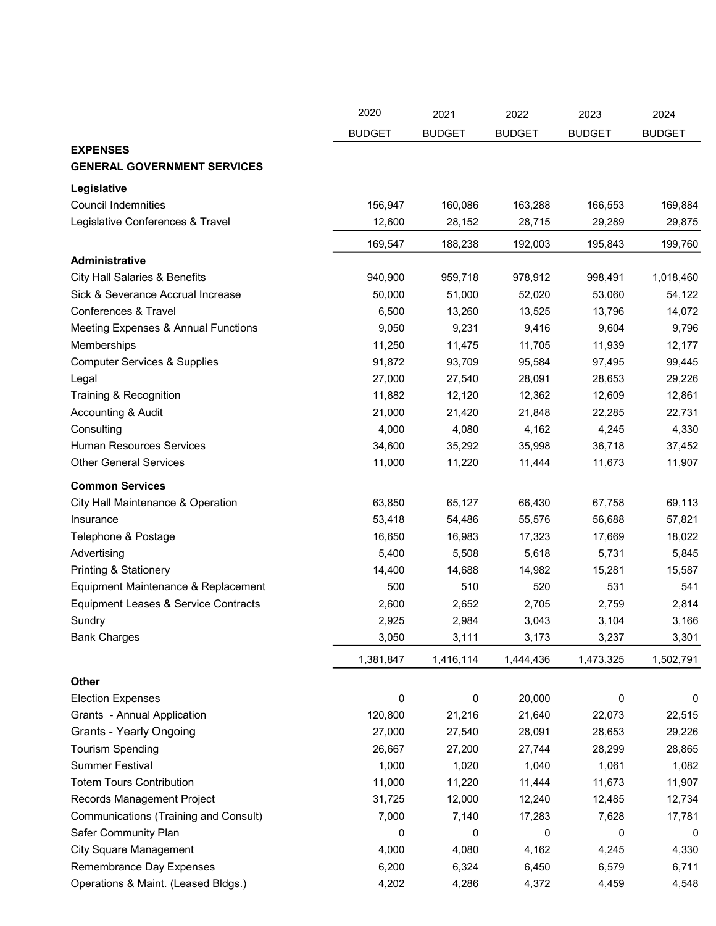|                                          | 2020          | 2021          | 2022          | 2023          | 2024          |
|------------------------------------------|---------------|---------------|---------------|---------------|---------------|
|                                          | <b>BUDGET</b> | <b>BUDGET</b> | <b>BUDGET</b> | <b>BUDGET</b> | <b>BUDGET</b> |
| <b>EXPENSES</b>                          |               |               |               |               |               |
| <b>GENERAL GOVERNMENT SERVICES</b>       |               |               |               |               |               |
| Legislative                              |               |               |               |               |               |
| <b>Council Indemnities</b>               | 156,947       | 160,086       | 163,288       | 166,553       | 169,884       |
| Legislative Conferences & Travel         | 12,600        | 28,152        | 28,715        | 29,289        | 29,875        |
|                                          | 169,547       | 188,238       | 192,003       | 195,843       | 199,760       |
| Administrative                           |               |               |               |               |               |
| <b>City Hall Salaries &amp; Benefits</b> | 940,900       | 959,718       | 978,912       | 998,491       | 1,018,460     |
| Sick & Severance Accrual Increase        | 50,000        | 51,000        | 52,020        | 53,060        | 54,122        |
| Conferences & Travel                     | 6,500         | 13,260        | 13,525        | 13,796        | 14,072        |
| Meeting Expenses & Annual Functions      | 9,050         | 9,231         | 9,416         | 9,604         | 9,796         |
| Memberships                              | 11,250        | 11,475        | 11,705        | 11,939        | 12,177        |
| <b>Computer Services &amp; Supplies</b>  | 91,872        | 93,709        | 95,584        | 97,495        | 99,445        |
| Legal                                    | 27,000        | 27,540        | 28,091        | 28,653        | 29,226        |
| Training & Recognition                   | 11,882        | 12,120        | 12,362        | 12,609        | 12,861        |
| Accounting & Audit                       | 21,000        | 21,420        | 21,848        | 22,285        | 22,731        |
| Consulting                               | 4,000         | 4,080         | 4,162         | 4,245         | 4,330         |
| <b>Human Resources Services</b>          | 34,600        | 35,292        | 35,998        | 36,718        | 37,452        |
| <b>Other General Services</b>            | 11,000        | 11,220        | 11,444        | 11,673        | 11,907        |
| <b>Common Services</b>                   |               |               |               |               |               |
| City Hall Maintenance & Operation        | 63,850        | 65,127        | 66,430        | 67,758        | 69,113        |
| Insurance                                | 53,418        | 54,486        | 55,576        | 56,688        | 57,821        |
| Telephone & Postage                      | 16,650        | 16,983        | 17,323        | 17,669        | 18,022        |
| Advertising                              | 5,400         | 5,508         | 5,618         | 5,731         | 5,845         |
| <b>Printing &amp; Stationery</b>         | 14,400        | 14,688        | 14,982        | 15,281        | 15,587        |
| Equipment Maintenance & Replacement      | 500           | 510           | 520           | 531           | 541           |
| Equipment Leases & Service Contracts     | 2,600         | 2,652         | 2,705         | 2,759         | 2,814         |
| Sundry                                   | 2,925         | 2,984         | 3,043         | 3,104         | 3,166         |
| <b>Bank Charges</b>                      | 3,050         | 3,111         | 3,173         | 3,237         | 3,301         |
|                                          |               |               |               |               |               |
|                                          | 1,381,847     | 1,416,114     | 1,444,436     | 1,473,325     | 1,502,791     |
| Other                                    |               |               |               |               |               |
| <b>Election Expenses</b>                 | 0             | 0             | 20,000        | 0             | 0             |
| Grants - Annual Application              | 120,800       | 21,216        | 21,640        | 22,073        | 22,515        |
| <b>Grants - Yearly Ongoing</b>           | 27,000        | 27,540        | 28,091        | 28,653        | 29,226        |
| <b>Tourism Spending</b>                  | 26,667        | 27,200        | 27,744        | 28,299        | 28,865        |
| <b>Summer Festival</b>                   | 1,000         | 1,020         | 1,040         | 1,061         | 1,082         |
| <b>Totem Tours Contribution</b>          | 11,000        | 11,220        | 11,444        | 11,673        | 11,907        |
| Records Management Project               | 31,725        | 12,000        | 12,240        | 12,485        | 12,734        |
| Communications (Training and Consult)    | 7,000         | 7,140         | 17,283        | 7,628         | 17,781        |
| Safer Community Plan                     | 0             | 0             | 0             | 0             | 0             |
| <b>City Square Management</b>            | 4,000         | 4,080         | 4,162         | 4,245         | 4,330         |
| Remembrance Day Expenses                 | 6,200         | 6,324         | 6,450         | 6,579         | 6,711         |
| Operations & Maint. (Leased Bldgs.)      | 4,202         | 4,286         | 4,372         | 4,459         | 4,548         |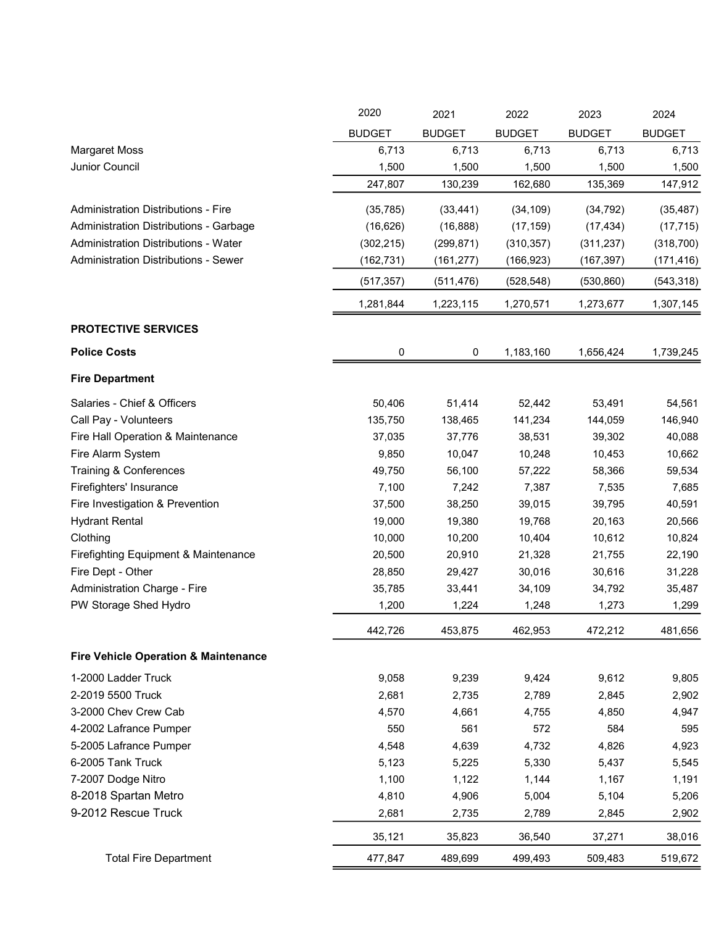|                                                 | 2020          | 2021          | 2022          | 2023          | 2024          |
|-------------------------------------------------|---------------|---------------|---------------|---------------|---------------|
|                                                 | <b>BUDGET</b> | <b>BUDGET</b> | <b>BUDGET</b> | <b>BUDGET</b> | <b>BUDGET</b> |
| <b>Margaret Moss</b>                            | 6,713         | 6,713         | 6,713         | 6,713         | 6,713         |
| Junior Council                                  | 1,500         | 1,500         | 1,500         | 1,500         | 1,500         |
|                                                 | 247,807       | 130,239       | 162,680       | 135,369       | 147,912       |
| <b>Administration Distributions - Fire</b>      | (35, 785)     | (33, 441)     | (34, 109)     | (34, 792)     | (35, 487)     |
| Administration Distributions - Garbage          | (16, 626)     | (16, 888)     | (17, 159)     | (17, 434)     | (17, 715)     |
| Administration Distributions - Water            | (302, 215)    | (299, 871)    | (310, 357)    | (311, 237)    | (318, 700)    |
| <b>Administration Distributions - Sewer</b>     | (162, 731)    | (161, 277)    | (166, 923)    | (167, 397)    | (171, 416)    |
|                                                 | (517, 357)    | (511, 476)    | (528, 548)    | (530, 860)    | (543, 318)    |
|                                                 | 1,281,844     | 1,223,115     | 1,270,571     | 1,273,677     | 1,307,145     |
| <b>PROTECTIVE SERVICES</b>                      |               |               |               |               |               |
| <b>Police Costs</b>                             | 0             | 0             | 1,183,160     | 1,656,424     | 1,739,245     |
| <b>Fire Department</b>                          |               |               |               |               |               |
|                                                 |               |               |               |               |               |
| Salaries - Chief & Officers                     | 50,406        | 51,414        | 52,442        | 53,491        | 54,561        |
| Call Pay - Volunteers                           | 135,750       | 138,465       | 141,234       | 144,059       | 146,940       |
| Fire Hall Operation & Maintenance               | 37,035        | 37,776        | 38,531        | 39,302        | 40,088        |
| Fire Alarm System                               | 9,850         | 10,047        | 10,248        | 10,453        | 10,662        |
| Training & Conferences                          | 49,750        | 56,100        | 57,222        | 58,366        | 59,534        |
| Firefighters' Insurance                         | 7,100         | 7,242         | 7,387         | 7,535         | 7,685         |
| Fire Investigation & Prevention                 | 37,500        | 38,250        | 39,015        | 39,795        | 40,591        |
| <b>Hydrant Rental</b>                           | 19,000        | 19,380        | 19,768        | 20,163        | 20,566        |
| Clothing                                        | 10,000        | 10,200        | 10,404        | 10,612        | 10,824        |
| Firefighting Equipment & Maintenance            | 20,500        | 20,910        | 21,328        | 21,755        | 22,190        |
| Fire Dept - Other                               | 28,850        | 29,427        | 30,016        | 30,616        | 31,228        |
| Administration Charge - Fire                    | 35,785        | 33,441        | 34,109        | 34,792        | 35,487        |
| PW Storage Shed Hydro                           | 1,200         | 1,224         | 1,248         | 1,273         | 1,299         |
|                                                 | 442,726       | 453,875       | 462,953       | 472,212       | 481,656       |
| <b>Fire Vehicle Operation &amp; Maintenance</b> |               |               |               |               |               |
| 1-2000 Ladder Truck                             | 9,058         | 9,239         | 9,424         | 9,612         | 9,805         |
| 2-2019 5500 Truck                               | 2,681         | 2,735         | 2,789         | 2,845         | 2,902         |
| 3-2000 Chev Crew Cab                            | 4,570         | 4,661         | 4,755         | 4,850         | 4,947         |
| 4-2002 Lafrance Pumper                          | 550           | 561           | 572           | 584           | 595           |
| 5-2005 Lafrance Pumper                          | 4,548         | 4,639         | 4,732         | 4,826         | 4,923         |
| 6-2005 Tank Truck                               | 5,123         | 5,225         | 5,330         | 5,437         | 5,545         |
| 7-2007 Dodge Nitro                              | 1,100         | 1,122         | 1,144         | 1,167         | 1,191         |
| 8-2018 Spartan Metro                            | 4,810         | 4,906         | 5,004         | 5,104         | 5,206         |
| 9-2012 Rescue Truck                             | 2,681         | 2,735         | 2,789         | 2,845         | 2,902         |
|                                                 | 35,121        | 35,823        | 36,540        | 37,271        | 38,016        |
| <b>Total Fire Department</b>                    | 477,847       | 489,699       | 499,493       | 509,483       | 519,672       |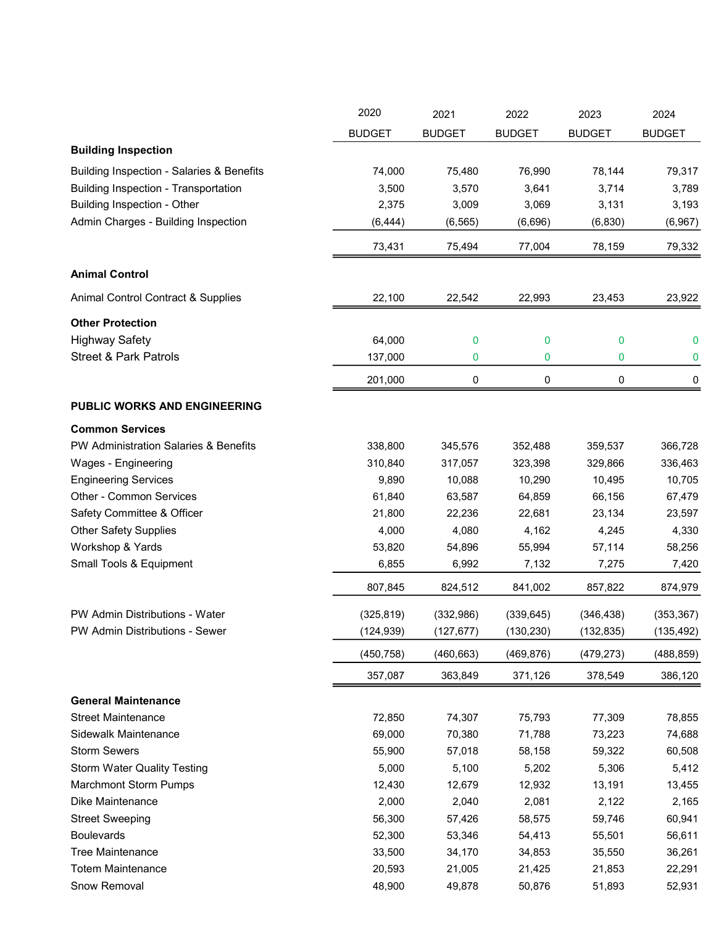|                                           | 2020          | 2021          | 2022          | 2023          | 2024          |
|-------------------------------------------|---------------|---------------|---------------|---------------|---------------|
|                                           | <b>BUDGET</b> | <b>BUDGET</b> | <b>BUDGET</b> | <b>BUDGET</b> | <b>BUDGET</b> |
| <b>Building Inspection</b>                |               |               |               |               |               |
| Building Inspection - Salaries & Benefits | 74,000        | 75,480        | 76,990        | 78,144        | 79,317        |
| Building Inspection - Transportation      | 3,500         | 3,570         | 3,641         | 3,714         | 3,789         |
| <b>Building Inspection - Other</b>        | 2,375         | 3,009         | 3,069         | 3,131         | 3,193         |
| Admin Charges - Building Inspection       | (6, 444)      | (6, 565)      | (6,696)       | (6, 830)      | (6,967)       |
|                                           | 73,431        | 75,494        | 77,004        | 78,159        | 79,332        |
| <b>Animal Control</b>                     |               |               |               |               |               |
|                                           |               |               |               |               |               |
| Animal Control Contract & Supplies        | 22,100        | 22,542        | 22,993        | 23,453        | 23,922        |
| <b>Other Protection</b>                   |               |               |               |               |               |
| <b>Highway Safety</b>                     | 64,000        | 0             | 0             | 0             | $\mathbf 0$   |
| <b>Street &amp; Park Patrols</b>          | 137,000       | 0             | 0             | 0             | 0             |
|                                           | 201,000       | 0             | 0             | 0             | 0             |
| <b>PUBLIC WORKS AND ENGINEERING</b>       |               |               |               |               |               |
| <b>Common Services</b>                    |               |               |               |               |               |
| PW Administration Salaries & Benefits     | 338,800       | 345,576       | 352,488       | 359,537       | 366,728       |
| Wages - Engineering                       | 310,840       | 317,057       | 323,398       | 329,866       | 336,463       |
| <b>Engineering Services</b>               | 9,890         | 10,088        | 10,290        | 10,495        | 10,705        |
| Other - Common Services                   | 61,840        | 63,587        | 64,859        | 66,156        | 67,479        |
| Safety Committee & Officer                | 21,800        | 22,236        | 22,681        | 23,134        | 23,597        |
| <b>Other Safety Supplies</b>              | 4,000         | 4,080         | 4,162         | 4,245         | 4,330         |
| Workshop & Yards                          | 53,820        | 54,896        | 55,994        | 57,114        | 58,256        |
| Small Tools & Equipment                   | 6,855         | 6,992         | 7,132         | 7,275         | 7,420         |
|                                           | 807,845       | 824,512       | 841,002       | 857,822       | 874,979       |
| PW Admin Distributions - Water            | (325, 819)    | (332,986)     | (339, 645)    | (346, 438)    | (353, 367)    |
| PW Admin Distributions - Sewer            | (124, 939)    | (127, 677)    | (130, 230)    | (132, 835)    | (135, 492)    |
|                                           | (450, 758)    | (460, 663)    | (469, 876)    | (479, 273)    | (488, 859)    |
|                                           | 357,087       | 363,849       | 371,126       | 378,549       | 386,120       |
| <b>General Maintenance</b>                |               |               |               |               |               |
| <b>Street Maintenance</b>                 | 72,850        | 74,307        | 75,793        | 77,309        | 78,855        |
| Sidewalk Maintenance                      | 69,000        | 70,380        | 71,788        | 73,223        | 74,688        |
| <b>Storm Sewers</b>                       | 55,900        | 57,018        | 58,158        | 59,322        | 60,508        |
| <b>Storm Water Quality Testing</b>        | 5,000         | 5,100         | 5,202         | 5,306         | 5,412         |
| <b>Marchmont Storm Pumps</b>              | 12,430        | 12,679        | 12,932        | 13,191        | 13,455        |
| Dike Maintenance                          | 2,000         | 2,040         | 2,081         | 2,122         | 2,165         |
| <b>Street Sweeping</b>                    | 56,300        | 57,426        | 58,575        | 59,746        | 60,941        |
| <b>Boulevards</b>                         | 52,300        | 53,346        | 54,413        | 55,501        | 56,611        |
| <b>Tree Maintenance</b>                   | 33,500        | 34,170        | 34,853        | 35,550        | 36,261        |
| <b>Totem Maintenance</b>                  | 20,593        | 21,005        | 21,425        | 21,853        | 22,291        |
| Snow Removal                              | 48,900        | 49,878        | 50,876        | 51,893        | 52,931        |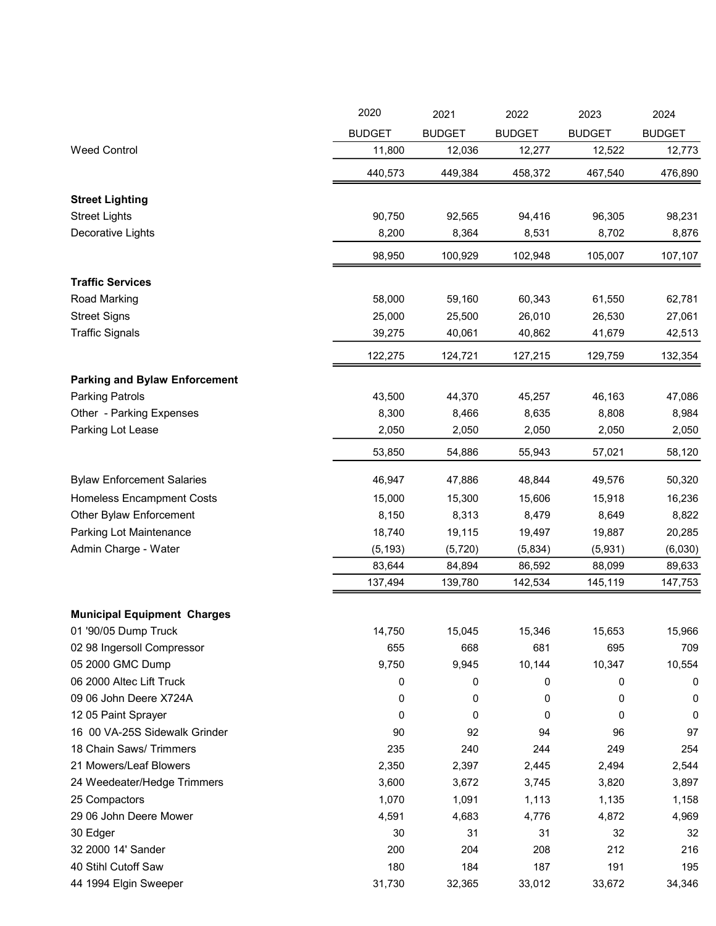| <b>BUDGET</b><br><b>BUDGET</b><br><b>BUDGET</b><br><b>BUDGET</b><br><b>BUDGET</b><br><b>Weed Control</b><br>11,800<br>12,036<br>12,277<br>12,522<br>449,384<br>458,372<br>467,540<br>440,573<br><b>Street Lighting</b><br><b>Street Lights</b><br>90,750<br>92,565<br>94,416<br>96,305<br>98,231<br>Decorative Lights<br>8,200<br>8,364<br>8,531<br>8,702<br>100,929<br>102,948<br>105,007<br>98,950<br><b>Traffic Services</b><br>Road Marking<br>58,000<br>59,160<br>60,343<br>61,550<br>62,781<br><b>Street Signs</b><br>25,000<br>25,500<br>26,010<br>27,061<br>26,530<br><b>Traffic Signals</b><br>39,275<br>40,061<br>40,862<br>41,679 | 2020 | 2021 | 2022 | 2023 | 2024    |
|----------------------------------------------------------------------------------------------------------------------------------------------------------------------------------------------------------------------------------------------------------------------------------------------------------------------------------------------------------------------------------------------------------------------------------------------------------------------------------------------------------------------------------------------------------------------------------------------------------------------------------------------|------|------|------|------|---------|
|                                                                                                                                                                                                                                                                                                                                                                                                                                                                                                                                                                                                                                              |      |      |      |      |         |
|                                                                                                                                                                                                                                                                                                                                                                                                                                                                                                                                                                                                                                              |      |      |      |      | 12,773  |
|                                                                                                                                                                                                                                                                                                                                                                                                                                                                                                                                                                                                                                              |      |      |      |      | 476,890 |
|                                                                                                                                                                                                                                                                                                                                                                                                                                                                                                                                                                                                                                              |      |      |      |      |         |
|                                                                                                                                                                                                                                                                                                                                                                                                                                                                                                                                                                                                                                              |      |      |      |      |         |
|                                                                                                                                                                                                                                                                                                                                                                                                                                                                                                                                                                                                                                              |      |      |      |      | 8,876   |
|                                                                                                                                                                                                                                                                                                                                                                                                                                                                                                                                                                                                                                              |      |      |      |      | 107,107 |
|                                                                                                                                                                                                                                                                                                                                                                                                                                                                                                                                                                                                                                              |      |      |      |      |         |
|                                                                                                                                                                                                                                                                                                                                                                                                                                                                                                                                                                                                                                              |      |      |      |      |         |
|                                                                                                                                                                                                                                                                                                                                                                                                                                                                                                                                                                                                                                              |      |      |      |      |         |
|                                                                                                                                                                                                                                                                                                                                                                                                                                                                                                                                                                                                                                              |      |      |      |      | 42,513  |
| 122,275<br>124,721<br>127,215<br>129,759                                                                                                                                                                                                                                                                                                                                                                                                                                                                                                                                                                                                     |      |      |      |      | 132,354 |
| <b>Parking and Bylaw Enforcement</b>                                                                                                                                                                                                                                                                                                                                                                                                                                                                                                                                                                                                         |      |      |      |      |         |
| <b>Parking Patrols</b><br>43,500<br>44,370<br>45,257<br>46,163                                                                                                                                                                                                                                                                                                                                                                                                                                                                                                                                                                               |      |      |      |      | 47,086  |
| 8,300<br>Other - Parking Expenses<br>8,466<br>8,635<br>8,808                                                                                                                                                                                                                                                                                                                                                                                                                                                                                                                                                                                 |      |      |      |      | 8,984   |
| Parking Lot Lease<br>2,050<br>2,050<br>2,050<br>2,050                                                                                                                                                                                                                                                                                                                                                                                                                                                                                                                                                                                        |      |      |      |      | 2,050   |
| 53,850<br>54,886<br>55,943<br>57,021                                                                                                                                                                                                                                                                                                                                                                                                                                                                                                                                                                                                         |      |      |      |      | 58,120  |
| <b>Bylaw Enforcement Salaries</b><br>47,886<br>48,844<br>46,947<br>49,576                                                                                                                                                                                                                                                                                                                                                                                                                                                                                                                                                                    |      |      |      |      | 50,320  |
| <b>Homeless Encampment Costs</b><br>15,000<br>15,300<br>15,606<br>15,918                                                                                                                                                                                                                                                                                                                                                                                                                                                                                                                                                                     |      |      |      |      | 16,236  |
| Other Bylaw Enforcement<br>8,150<br>8,313<br>8,479<br>8,649                                                                                                                                                                                                                                                                                                                                                                                                                                                                                                                                                                                  |      |      |      |      | 8,822   |
| Parking Lot Maintenance<br>18,740<br>19,115<br>19,497<br>19,887                                                                                                                                                                                                                                                                                                                                                                                                                                                                                                                                                                              |      |      |      |      | 20,285  |
| Admin Charge - Water<br>(5, 193)<br>(5, 720)<br>(5,834)<br>(5,931)                                                                                                                                                                                                                                                                                                                                                                                                                                                                                                                                                                           |      |      |      |      | (6,030) |
| 83,644<br>84,894<br>86,592<br>88,099                                                                                                                                                                                                                                                                                                                                                                                                                                                                                                                                                                                                         |      |      |      |      | 89,633  |
| 137,494<br>139,780<br>142,534<br>145,119                                                                                                                                                                                                                                                                                                                                                                                                                                                                                                                                                                                                     |      |      |      |      | 147,753 |
| <b>Municipal Equipment Charges</b>                                                                                                                                                                                                                                                                                                                                                                                                                                                                                                                                                                                                           |      |      |      |      |         |
| 01 '90/05 Dump Truck<br>15,653<br>14,750<br>15,045<br>15,346                                                                                                                                                                                                                                                                                                                                                                                                                                                                                                                                                                                 |      |      |      |      | 15,966  |
| 02 98 Ingersoll Compressor<br>655<br>695<br>668<br>681                                                                                                                                                                                                                                                                                                                                                                                                                                                                                                                                                                                       |      |      |      |      | 709     |
| 05 2000 GMC Dump<br>9,750<br>9,945<br>10,144<br>10,347                                                                                                                                                                                                                                                                                                                                                                                                                                                                                                                                                                                       |      |      |      |      | 10,554  |
| 06 2000 Altec Lift Truck<br>0<br>0<br>0<br>0                                                                                                                                                                                                                                                                                                                                                                                                                                                                                                                                                                                                 |      |      |      |      | 0       |
| 09 06 John Deere X724A<br>0<br>0<br>0<br>0                                                                                                                                                                                                                                                                                                                                                                                                                                                                                                                                                                                                   |      |      |      |      | 0       |
| 12 05 Paint Sprayer<br>0<br>0<br>0<br>0<br>0                                                                                                                                                                                                                                                                                                                                                                                                                                                                                                                                                                                                 |      |      |      |      |         |
| 16 00 VA-25S Sidewalk Grinder<br>92<br>90<br>94<br>96                                                                                                                                                                                                                                                                                                                                                                                                                                                                                                                                                                                        |      |      |      |      | 97      |
| 18 Chain Saws/ Trimmers<br>235<br>240<br>244<br>249                                                                                                                                                                                                                                                                                                                                                                                                                                                                                                                                                                                          |      |      |      |      | 254     |
| 21 Mowers/Leaf Blowers<br>2,350<br>2,445<br>2,494<br>2,397                                                                                                                                                                                                                                                                                                                                                                                                                                                                                                                                                                                   |      |      |      |      | 2,544   |
| 24 Weedeater/Hedge Trimmers<br>3,600<br>3,745<br>3,672<br>3,820                                                                                                                                                                                                                                                                                                                                                                                                                                                                                                                                                                              |      |      |      |      | 3,897   |
| 1,070<br>1,135<br>25 Compactors<br>1,091<br>1,113                                                                                                                                                                                                                                                                                                                                                                                                                                                                                                                                                                                            |      |      |      |      | 1,158   |
| 29 06 John Deere Mower<br>4,776<br>4,872<br>4,591<br>4,683                                                                                                                                                                                                                                                                                                                                                                                                                                                                                                                                                                                   |      |      |      |      | 4,969   |
| 30 Edger<br>30<br>31<br>31<br>32                                                                                                                                                                                                                                                                                                                                                                                                                                                                                                                                                                                                             |      |      |      |      | 32      |
| 32 2000 14' Sander<br>200<br>204<br>208<br>212                                                                                                                                                                                                                                                                                                                                                                                                                                                                                                                                                                                               |      |      |      |      | 216     |
| 40 Stihl Cutoff Saw<br>180<br>184<br>187<br>191                                                                                                                                                                                                                                                                                                                                                                                                                                                                                                                                                                                              |      |      |      |      | 195     |
| 44 1994 Elgin Sweeper<br>31,730<br>32,365<br>33,012<br>33,672                                                                                                                                                                                                                                                                                                                                                                                                                                                                                                                                                                                |      |      |      |      | 34,346  |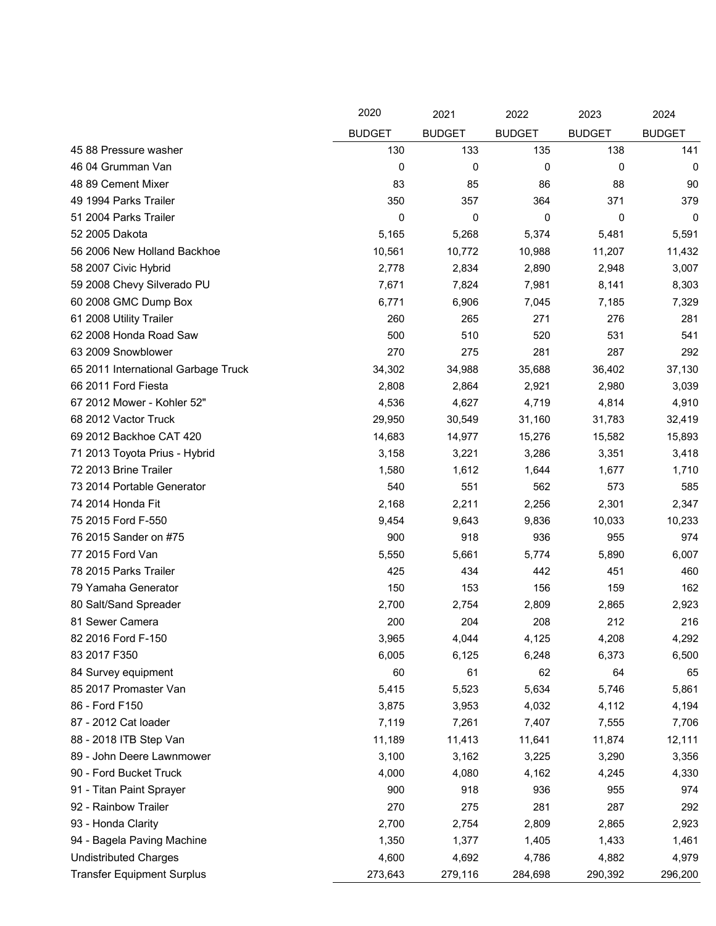|                                     | 2020          | 2021          | 2022          | 2023          | 2024          |
|-------------------------------------|---------------|---------------|---------------|---------------|---------------|
|                                     | <b>BUDGET</b> | <b>BUDGET</b> | <b>BUDGET</b> | <b>BUDGET</b> | <b>BUDGET</b> |
| 45 88 Pressure washer               | 130           | 133           | 135           | 138           | 141           |
| 46 04 Grumman Van                   | 0             | 0             | 0             | 0             | 0             |
| 48 89 Cement Mixer                  | 83            | 85            | 86            | 88            | 90            |
| 49 1994 Parks Trailer               | 350           | 357           | 364           | 371           | 379           |
| 51 2004 Parks Trailer               | 0             | 0             | 0             | 0             | 0             |
| 52 2005 Dakota                      | 5,165         | 5,268         | 5,374         | 5,481         | 5,591         |
| 56 2006 New Holland Backhoe         | 10,561        | 10,772        | 10,988        | 11,207        | 11,432        |
| 58 2007 Civic Hybrid                | 2,778         | 2,834         | 2,890         | 2,948         | 3,007         |
| 59 2008 Chevy Silverado PU          | 7,671         | 7,824         | 7,981         | 8,141         | 8,303         |
| 60 2008 GMC Dump Box                | 6,771         | 6,906         | 7,045         | 7,185         | 7,329         |
| 61 2008 Utility Trailer             | 260           | 265           | 271           | 276           | 281           |
| 62 2008 Honda Road Saw              | 500           | 510           | 520           | 531           | 541           |
| 63 2009 Snowblower                  | 270           | 275           | 281           | 287           | 292           |
| 65 2011 International Garbage Truck | 34,302        | 34,988        | 35,688        | 36,402        | 37,130        |
| 66 2011 Ford Fiesta                 | 2,808         | 2,864         | 2,921         | 2,980         | 3,039         |
| 67 2012 Mower - Kohler 52"          | 4,536         | 4,627         | 4,719         | 4,814         | 4,910         |
| 68 2012 Vactor Truck                | 29,950        | 30,549        | 31,160        | 31,783        | 32,419        |
| 69 2012 Backhoe CAT 420             | 14,683        | 14,977        | 15,276        | 15,582        | 15,893        |
| 71 2013 Toyota Prius - Hybrid       | 3,158         | 3,221         | 3,286         | 3,351         | 3,418         |
| 72 2013 Brine Trailer               | 1,580         | 1,612         | 1,644         | 1,677         | 1,710         |
| 73 2014 Portable Generator          | 540           | 551           | 562           | 573           | 585           |
| 74 2014 Honda Fit                   | 2,168         | 2,211         | 2,256         | 2,301         | 2,347         |
| 75 2015 Ford F-550                  | 9,454         | 9,643         | 9,836         | 10,033        | 10,233        |
| 76 2015 Sander on #75               | 900           | 918           | 936           | 955           | 974           |
| 77 2015 Ford Van                    | 5,550         | 5,661         | 5,774         | 5,890         | 6,007         |
| 78 2015 Parks Trailer               | 425           | 434           | 442           | 451           | 460           |
| 79 Yamaha Generator                 | 150           | 153           | 156           | 159           | 162           |
| 80 Salt/Sand Spreader               | 2,700         | 2,754         | 2,809         | 2,865         | 2,923         |
| 81 Sewer Camera                     | 200           | 204           | 208           | 212           | 216           |
| 82 2016 Ford F-150                  | 3,965         | 4,044         | 4,125         | 4,208         | 4,292         |
| 83 2017 F350                        | 6,005         | 6,125         | 6,248         | 6,373         | 6,500         |
| 84 Survey equipment                 | 60            | 61            | 62            | 64            | 65            |
| 85 2017 Promaster Van               | 5,415         | 5,523         | 5,634         | 5,746         | 5,861         |
| 86 - Ford F150                      | 3,875         | 3,953         | 4,032         | 4,112         | 4,194         |
| 87 - 2012 Cat loader                | 7,119         | 7,261         | 7,407         | 7,555         | 7,706         |
| 88 - 2018 ITB Step Van              | 11,189        | 11,413        | 11,641        | 11,874        | 12,111        |
| 89 - John Deere Lawnmower           | 3,100         | 3,162         | 3,225         | 3,290         | 3,356         |
| 90 - Ford Bucket Truck              | 4,000         | 4,080         | 4,162         | 4,245         | 4,330         |
| 91 - Titan Paint Sprayer            | 900           | 918           | 936           | 955           | 974           |
| 92 - Rainbow Trailer                | 270           | 275           | 281           | 287           | 292           |
| 93 - Honda Clarity                  | 2,700         | 2,754         | 2,809         | 2,865         | 2,923         |
| 94 - Bagela Paving Machine          | 1,350         | 1,377         | 1,405         | 1,433         | 1,461         |
| <b>Undistributed Charges</b>        | 4,600         | 4,692         | 4,786         | 4,882         | 4,979         |
| <b>Transfer Equipment Surplus</b>   | 273,643       | 279,116       | 284,698       | 290,392       | 296,200       |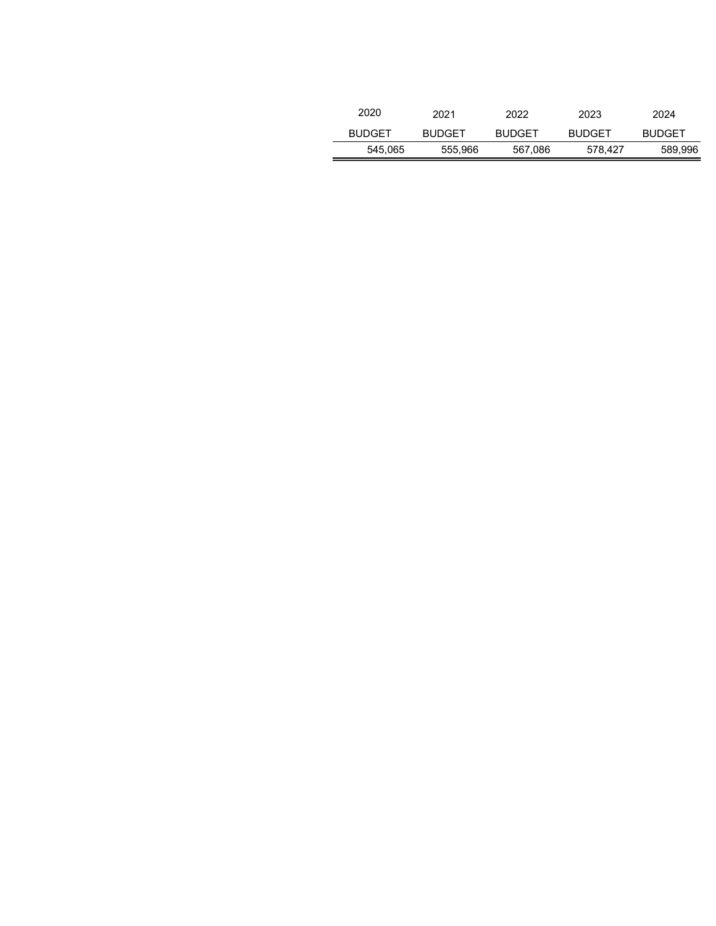| 2020          | 2021          | 2022          | 2023          | 2024          |
|---------------|---------------|---------------|---------------|---------------|
| <b>BUDGET</b> | <b>BUDGET</b> | <b>BUDGET</b> | <b>BUDGET</b> | <b>BUDGET</b> |
| 545,065       | 555,966       | 567,086       | 578.427       | 589,996       |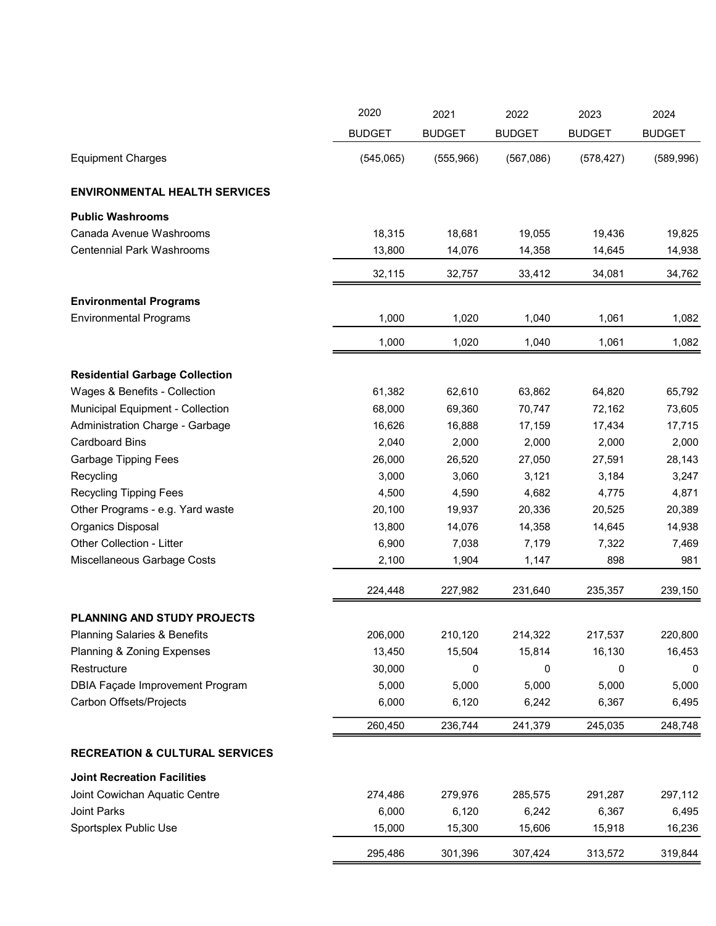|                                           | 2020          | 2021          | 2022          | 2023          | 2024          |
|-------------------------------------------|---------------|---------------|---------------|---------------|---------------|
|                                           | <b>BUDGET</b> | <b>BUDGET</b> | <b>BUDGET</b> | <b>BUDGET</b> | <b>BUDGET</b> |
| <b>Equipment Charges</b>                  | (545,065)     | (555,966)     | (567,086)     | (578, 427)    | (589, 996)    |
| <b>ENVIRONMENTAL HEALTH SERVICES</b>      |               |               |               |               |               |
| <b>Public Washrooms</b>                   |               |               |               |               |               |
| Canada Avenue Washrooms                   | 18,315        | 18,681        | 19,055        | 19,436        | 19,825        |
| <b>Centennial Park Washrooms</b>          | 13,800        | 14,076        | 14,358        | 14,645        | 14,938        |
|                                           | 32,115        | 32,757        | 33,412        | 34,081        | 34,762        |
| <b>Environmental Programs</b>             |               |               |               |               |               |
| <b>Environmental Programs</b>             | 1,000         | 1,020         | 1,040         | 1,061         | 1,082         |
|                                           | 1,000         | 1,020         | 1,040         | 1,061         | 1,082         |
| <b>Residential Garbage Collection</b>     |               |               |               |               |               |
| Wages & Benefits - Collection             | 61,382        | 62,610        | 63,862        | 64,820        | 65,792        |
| Municipal Equipment - Collection          | 68,000        | 69,360        | 70,747        | 72,162        | 73,605        |
| Administration Charge - Garbage           | 16,626        | 16,888        | 17,159        | 17,434        | 17,715        |
| <b>Cardboard Bins</b>                     | 2,040         | 2,000         | 2,000         | 2,000         | 2,000         |
| <b>Garbage Tipping Fees</b>               | 26,000        | 26,520        | 27,050        | 27,591        | 28,143        |
| Recycling                                 | 3,000         | 3,060         | 3,121         | 3,184         | 3,247         |
| <b>Recycling Tipping Fees</b>             | 4,500         | 4,590         | 4,682         | 4,775         | 4,871         |
| Other Programs - e.g. Yard waste          | 20,100        | 19,937        | 20,336        | 20,525        | 20,389        |
| Organics Disposal                         | 13,800        | 14,076        | 14,358        | 14,645        | 14,938        |
| Other Collection - Litter                 | 6,900         | 7,038         | 7,179         | 7,322         | 7,469         |
| Miscellaneous Garbage Costs               | 2,100         | 1,904         | 1,147         | 898           | 981           |
|                                           | 224,448       | 227,982       | 231,640       | 235,357       | 239,150       |
| <b>PLANNING AND STUDY PROJECTS</b>        |               |               |               |               |               |
| <b>Planning Salaries &amp; Benefits</b>   | 206,000       | 210,120       | 214,322       | 217,537       | 220,800       |
| Planning & Zoning Expenses                | 13,450        | 15,504        | 15,814        | 16,130        | 16,453        |
| Restructure                               | 30,000        | 0             | 0             | 0             | 0             |
| <b>DBIA Façade Improvement Program</b>    | 5,000         | 5,000         | 5,000         | 5,000         | 5,000         |
| Carbon Offsets/Projects                   | 6,000         | 6,120         | 6,242         | 6,367         | 6,495         |
|                                           | 260,450       | 236,744       | 241,379       | 245,035       | 248,748       |
| <b>RECREATION &amp; CULTURAL SERVICES</b> |               |               |               |               |               |
| <b>Joint Recreation Facilities</b>        |               |               |               |               |               |
| Joint Cowichan Aquatic Centre             | 274,486       | 279,976       | 285,575       | 291,287       | 297,112       |
| Joint Parks                               | 6,000         | 6,120         | 6,242         | 6,367         | 6,495         |
| Sportsplex Public Use                     | 15,000        | 15,300        | 15,606        | 15,918        | 16,236        |
|                                           | 295,486       | 301,396       | 307,424       | 313,572       | 319,844       |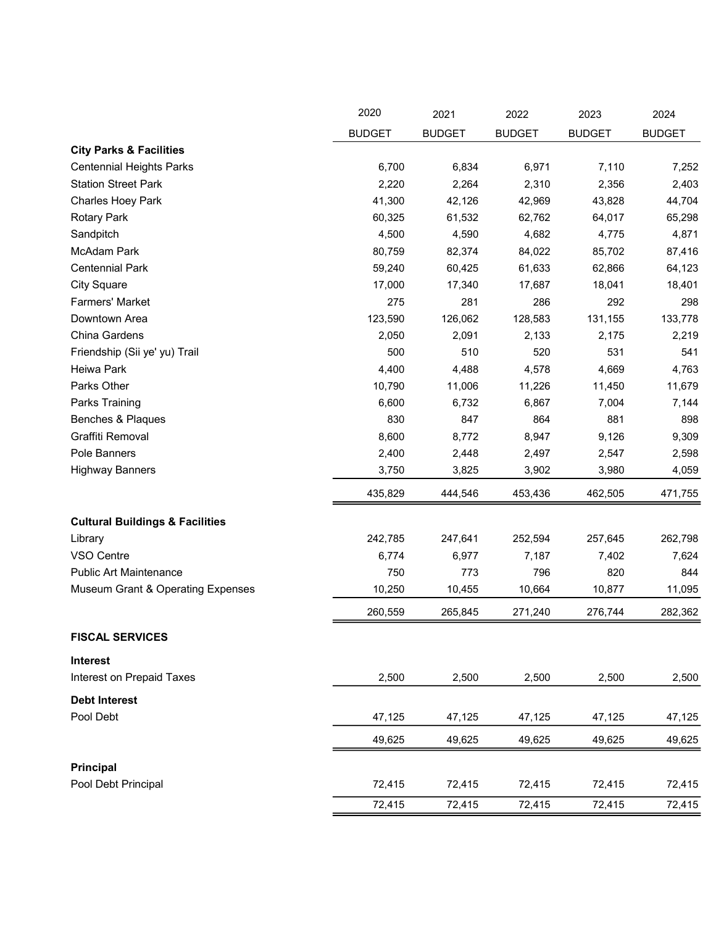|                                            | 2020          | 2021          | 2022          | 2023          | 2024          |
|--------------------------------------------|---------------|---------------|---------------|---------------|---------------|
|                                            | <b>BUDGET</b> | <b>BUDGET</b> | <b>BUDGET</b> | <b>BUDGET</b> | <b>BUDGET</b> |
| <b>City Parks &amp; Facilities</b>         |               |               |               |               |               |
| <b>Centennial Heights Parks</b>            | 6,700         | 6,834         | 6,971         | 7,110         | 7,252         |
| <b>Station Street Park</b>                 | 2,220         | 2,264         | 2,310         | 2,356         | 2,403         |
| Charles Hoey Park                          | 41,300        | 42,126        | 42,969        | 43,828        | 44,704        |
| <b>Rotary Park</b>                         | 60,325        | 61,532        | 62,762        | 64,017        | 65,298        |
| Sandpitch                                  | 4,500         | 4,590         | 4,682         | 4,775         | 4,871         |
| <b>McAdam Park</b>                         | 80,759        | 82,374        | 84,022        | 85,702        | 87,416        |
| <b>Centennial Park</b>                     | 59,240        | 60,425        | 61,633        | 62,866        | 64,123        |
| <b>City Square</b>                         | 17,000        | 17,340        | 17,687        | 18,041        | 18,401        |
| Farmers' Market                            | 275           | 281           | 286           | 292           | 298           |
| Downtown Area                              | 123,590       | 126,062       | 128,583       | 131,155       | 133,778       |
| China Gardens                              | 2,050         | 2,091         | 2,133         | 2,175         | 2,219         |
| Friendship (Sii ye' yu) Trail              | 500           | 510           | 520           | 531           | 541           |
| Heiwa Park                                 | 4,400         | 4,488         | 4,578         | 4,669         | 4,763         |
| Parks Other                                | 10,790        | 11,006        | 11,226        | 11,450        | 11,679        |
| Parks Training                             | 6,600         | 6,732         | 6,867         | 7,004         | 7,144         |
| Benches & Plaques                          | 830           | 847           | 864           | 881           | 898           |
| Graffiti Removal                           | 8,600         | 8,772         | 8,947         | 9,126         | 9,309         |
| Pole Banners                               | 2,400         | 2,448         | 2,497         | 2,547         | 2,598         |
| <b>Highway Banners</b>                     | 3,750         | 3,825         | 3,902         | 3,980         | 4,059         |
|                                            | 435,829       | 444,546       | 453,436       | 462,505       | 471,755       |
| <b>Cultural Buildings &amp; Facilities</b> |               |               |               |               |               |
| Library                                    | 242,785       | 247,641       | 252,594       | 257,645       | 262,798       |
| VSO Centre                                 | 6,774         | 6,977         | 7,187         | 7,402         | 7,624         |
| <b>Public Art Maintenance</b>              | 750           | 773           | 796           | 820           | 844           |
| Museum Grant & Operating Expenses          | 10,250        | 10,455        | 10,664        | 10,877        | 11,095        |
|                                            | 260,559       | 265,845       | 271,240       | 276,744       | 282,362       |
| <b>FISCAL SERVICES</b>                     |               |               |               |               |               |
| Interest                                   |               |               |               |               |               |
| Interest on Prepaid Taxes                  | 2,500         | 2,500         | 2,500         | 2,500         | 2,500         |
| <b>Debt Interest</b>                       |               |               |               |               |               |
| Pool Debt                                  | 47,125        | 47,125        | 47,125        | 47,125        | 47,125        |
|                                            | 49,625        | 49,625        | 49,625        | 49,625        | 49,625        |
| Principal                                  |               |               |               |               |               |
| Pool Debt Principal                        | 72,415        | 72,415        | 72,415        | 72,415        | 72,415        |
|                                            | 72,415        | 72,415        | 72,415        | 72,415        | 72,415        |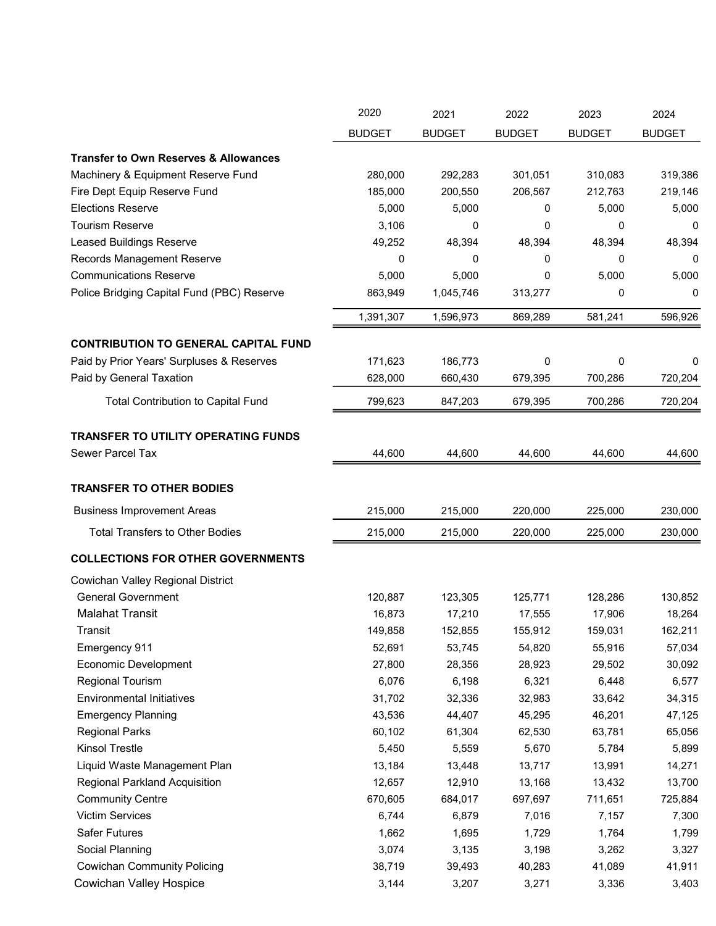|                                                  | 2020          | 2021          | 2022          | 2023          | 2024          |
|--------------------------------------------------|---------------|---------------|---------------|---------------|---------------|
|                                                  | <b>BUDGET</b> | <b>BUDGET</b> | <b>BUDGET</b> | <b>BUDGET</b> | <b>BUDGET</b> |
| <b>Transfer to Own Reserves &amp; Allowances</b> |               |               |               |               |               |
| Machinery & Equipment Reserve Fund               | 280,000       | 292,283       | 301,051       | 310,083       | 319,386       |
| Fire Dept Equip Reserve Fund                     | 185,000       | 200,550       | 206,567       | 212,763       | 219,146       |
| <b>Elections Reserve</b>                         | 5,000         | 5,000         | 0             | 5,000         | 5,000         |
| <b>Tourism Reserve</b>                           | 3,106         | 0             | 0             | 0             | 0             |
| <b>Leased Buildings Reserve</b>                  | 49,252        | 48,394        | 48,394        | 48,394        | 48,394        |
| Records Management Reserve                       | 0             | 0             | 0             | 0             | 0             |
| <b>Communications Reserve</b>                    | 5,000         | 5,000         | 0             | 5,000         | 5,000         |
| Police Bridging Capital Fund (PBC) Reserve       | 863,949       | 1,045,746     | 313,277       | 0             | 0             |
|                                                  | 1,391,307     | 1,596,973     | 869,289       | 581,241       | 596,926       |
| <b>CONTRIBUTION TO GENERAL CAPITAL FUND</b>      |               |               |               |               |               |
| Paid by Prior Years' Surpluses & Reserves        | 171,623       | 186,773       | 0             | 0             | 0             |
| Paid by General Taxation                         | 628,000       | 660,430       | 679,395       | 700,286       | 720,204       |
| <b>Total Contribution to Capital Fund</b>        | 799,623       | 847,203       | 679,395       | 700,286       | 720,204       |
| TRANSFER TO UTILITY OPERATING FUNDS              |               |               |               |               |               |
| Sewer Parcel Tax                                 | 44,600        | 44,600        | 44,600        | 44,600        | 44,600        |
|                                                  |               |               |               |               |               |
| <b>TRANSFER TO OTHER BODIES</b>                  |               |               |               |               |               |
| <b>Business Improvement Areas</b>                | 215,000       | 215,000       | 220,000       | 225,000       | 230,000       |
| <b>Total Transfers to Other Bodies</b>           | 215,000       | 215,000       | 220,000       | 225,000       | 230,000       |
| <b>COLLECTIONS FOR OTHER GOVERNMENTS</b>         |               |               |               |               |               |
| Cowichan Valley Regional District                |               |               |               |               |               |
| <b>General Government</b>                        | 120,887       | 123,305       | 125,771       | 128,286       | 130,852       |
| <b>Malahat Transit</b>                           | 16,873        | 17,210        | 17,555        | 17,906        | 18,264        |
| Transit                                          | 149,858       | 152,855       | 155,912       | 159,031       | 162,211       |
| Emergency 911                                    | 52,691        | 53,745        | 54,820        | 55,916        | 57,034        |
| <b>Economic Development</b>                      | 27,800        | 28,356        | 28,923        | 29,502        | 30,092        |
| <b>Regional Tourism</b>                          | 6,076         | 6,198         | 6,321         | 6,448         | 6,577         |
| <b>Environmental Initiatives</b>                 | 31,702        | 32,336        | 32,983        | 33,642        | 34,315        |
| <b>Emergency Planning</b>                        | 43,536        | 44,407        | 45,295        | 46,201        | 47,125        |
| <b>Regional Parks</b>                            | 60,102        | 61,304        | 62,530        | 63,781        | 65,056        |
| Kinsol Trestle                                   | 5,450         | 5,559         | 5,670         | 5,784         | 5,899         |
| Liquid Waste Management Plan                     | 13,184        | 13,448        | 13,717        | 13,991        | 14,271        |
| <b>Regional Parkland Acquisition</b>             | 12,657        | 12,910        | 13,168        | 13,432        | 13,700        |
| <b>Community Centre</b>                          | 670,605       | 684,017       | 697,697       | 711,651       | 725,884       |
| Victim Services                                  | 6,744         | 6,879         | 7,016         | 7,157         | 7,300         |
| Safer Futures                                    | 1,662         | 1,695         | 1,729         | 1,764         | 1,799         |
| Social Planning                                  | 3,074         | 3,135         | 3,198         | 3,262         | 3,327         |
| <b>Cowichan Community Policing</b>               | 38,719        | 39,493        | 40,283        | 41,089        | 41,911        |
| Cowichan Valley Hospice                          | 3,144         | 3,207         | 3,271         | 3,336         | 3,403         |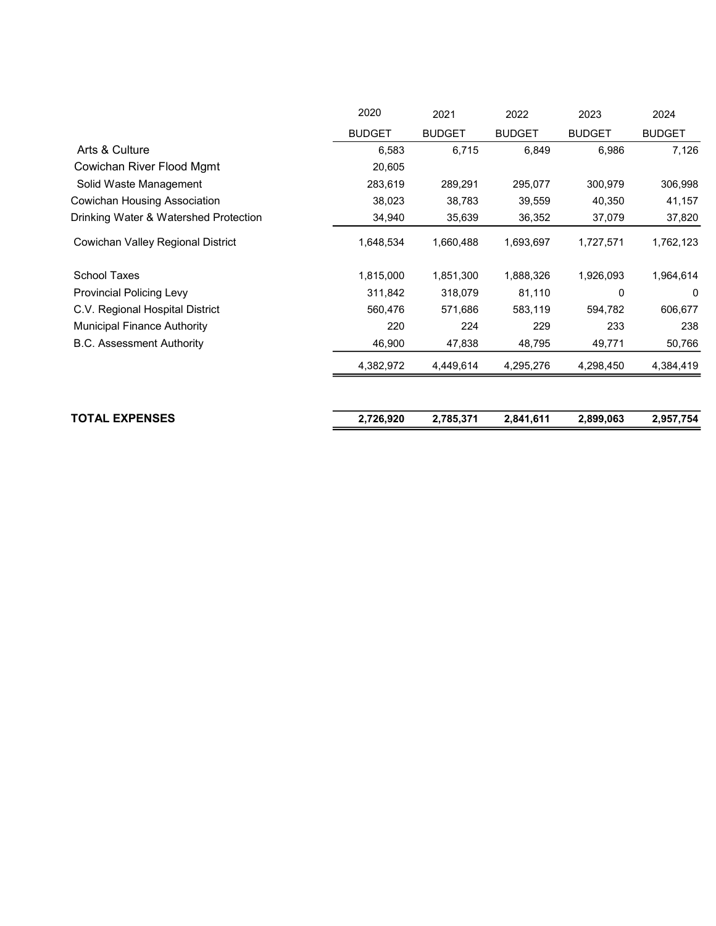| 2020          | 2021          | 2022          | 2023          | 2024          |
|---------------|---------------|---------------|---------------|---------------|
| <b>BUDGET</b> | <b>BUDGET</b> | <b>BUDGET</b> | <b>BUDGET</b> | <b>BUDGET</b> |
| 6,583         | 6,715         | 6,849         | 6,986         | 7,126         |
| 20,605        |               |               |               |               |
| 283,619       | 289,291       | 295,077       | 300,979       | 306,998       |
| 38,023        | 38,783        | 39,559        | 40,350        | 41,157        |
| 34,940        | 35,639        | 36,352        | 37,079        | 37,820        |
| 1,648,534     | 1,660,488     | 1,693,697     | 1,727,571     | 1,762,123     |
| 1,815,000     | 1,851,300     | 1,888,326     | 1,926,093     | 1,964,614     |
| 311,842       | 318,079       | 81,110        | 0             | 0             |
| 560,476       | 571,686       | 583,119       | 594,782       | 606,677       |
| 220           | 224           | 229           | 233           | 238           |
| 46,900        | 47,838        | 48,795        | 49,771        | 50,766        |
| 4,382,972     | 4,449,614     | 4,295,276     | 4,298,450     | 4,384,419     |
|               |               |               |               | 2,957,754     |
|               | 2,726,920     | 2,785,371     | 2,841,611     | 2,899,063     |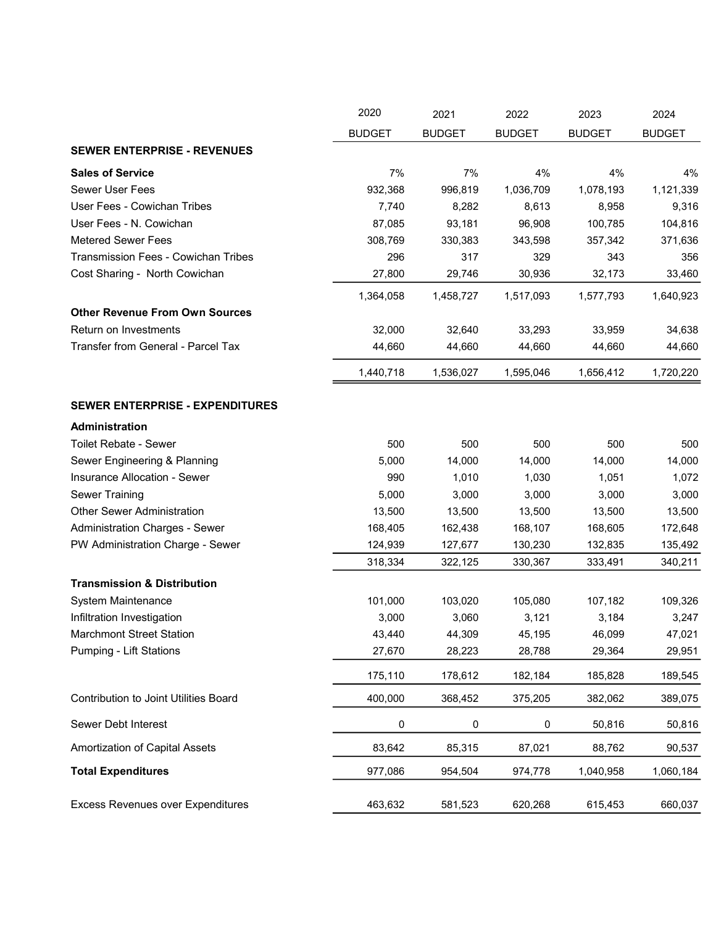|                                            | 2020          | 2021          | 2022          | 2023          | 2024          |
|--------------------------------------------|---------------|---------------|---------------|---------------|---------------|
|                                            | <b>BUDGET</b> | <b>BUDGET</b> | <b>BUDGET</b> | <b>BUDGET</b> | <b>BUDGET</b> |
| <b>SEWER ENTERPRISE - REVENUES</b>         |               |               |               |               |               |
| <b>Sales of Service</b>                    | 7%            | 7%            | 4%            | 4%            | 4%            |
| <b>Sewer User Fees</b>                     | 932,368       | 996,819       | 1,036,709     | 1,078,193     | 1,121,339     |
| User Fees - Cowichan Tribes                | 7,740         | 8,282         | 8,613         | 8,958         | 9,316         |
| User Fees - N. Cowichan                    | 87,085        | 93,181        | 96,908        | 100,785       | 104,816       |
| <b>Metered Sewer Fees</b>                  | 308,769       | 330,383       | 343,598       | 357,342       | 371,636       |
| <b>Transmission Fees - Cowichan Tribes</b> | 296           | 317           | 329           | 343           | 356           |
| Cost Sharing - North Cowichan              | 27,800        | 29,746        | 30,936        | 32,173        | 33,460        |
|                                            | 1,364,058     | 1,458,727     | 1,517,093     | 1,577,793     | 1,640,923     |
| <b>Other Revenue From Own Sources</b>      |               |               |               |               |               |
| Return on Investments                      | 32,000        | 32,640        | 33,293        | 33,959        | 34,638        |
| Transfer from General - Parcel Tax         | 44,660        | 44,660        | 44,660        | 44,660        | 44,660        |
|                                            | 1,440,718     | 1,536,027     | 1,595,046     | 1,656,412     | 1,720,220     |
| <b>SEWER ENTERPRISE - EXPENDITURES</b>     |               |               |               |               |               |
| Administration                             |               |               |               |               |               |
| <b>Toilet Rebate - Sewer</b>               | 500           | 500           | 500           | 500           | 500           |
| Sewer Engineering & Planning               | 5,000         | 14,000        | 14,000        | 14,000        | 14,000        |
| Insurance Allocation - Sewer               | 990           | 1,010         | 1,030         | 1,051         | 1,072         |
| <b>Sewer Training</b>                      | 5,000         | 3,000         | 3,000         | 3,000         | 3,000         |
| <b>Other Sewer Administration</b>          | 13,500        | 13,500        | 13,500        | 13,500        | 13,500        |
| <b>Administration Charges - Sewer</b>      | 168,405       | 162,438       | 168,107       | 168,605       | 172,648       |
| PW Administration Charge - Sewer           | 124,939       | 127,677       | 130,230       | 132,835       | 135,492       |
|                                            | 318,334       | 322,125       | 330,367       | 333,491       | 340,211       |
| <b>Transmission &amp; Distribution</b>     |               |               |               |               |               |
| System Maintenance                         | 101,000       | 103,020       | 105,080       | 107,182       | 109,326       |
| Infiltration Investigation                 | 3,000         | 3,060         | 3,121         | 3,184         | 3,247         |
| <b>Marchmont Street Station</b>            | 43,440        | 44,309        | 45,195        | 46,099        | 47,021        |
| <b>Pumping - Lift Stations</b>             | 27,670        | 28,223        | 28,788        | 29,364        | 29,951        |
|                                            | 175,110       | 178,612       | 182,184       | 185,828       | 189,545       |
| Contribution to Joint Utilities Board      | 400,000       | 368,452       | 375,205       | 382,062       | 389,075       |
| Sewer Debt Interest                        | $\pmb{0}$     | 0             | 0             | 50,816        | 50,816        |
| Amortization of Capital Assets             | 83,642        | 85,315        | 87,021        | 88,762        | 90,537        |
| <b>Total Expenditures</b>                  | 977,086       | 954,504       | 974,778       | 1,040,958     | 1,060,184     |
| <b>Excess Revenues over Expenditures</b>   | 463,632       | 581,523       | 620,268       | 615,453       | 660,037       |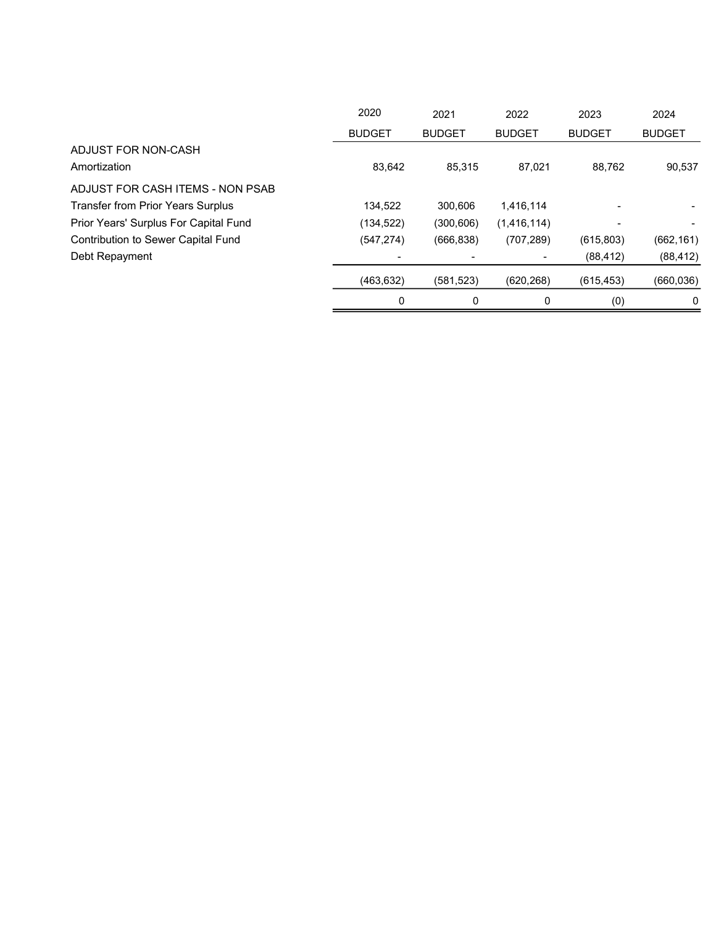|                                           | 2020          | 2021          | 2022          | 2023          | 2024          |
|-------------------------------------------|---------------|---------------|---------------|---------------|---------------|
|                                           | <b>BUDGET</b> | <b>BUDGET</b> | <b>BUDGET</b> | <b>BUDGET</b> | <b>BUDGET</b> |
| ADJUST FOR NON-CASH                       |               |               |               |               |               |
| Amortization                              | 83,642        | 85,315        | 87.021        | 88,762        | 90,537        |
| ADJUST FOR CASH ITEMS - NON PSAB          |               |               |               |               |               |
| <b>Transfer from Prior Years Surplus</b>  | 134.522       | 300.606       | 1.416.114     |               |               |
| Prior Years' Surplus For Capital Fund     | (134, 522)    | (300, 606)    | (1,416,114)   |               |               |
| <b>Contribution to Sewer Capital Fund</b> | (547, 274)    | (666, 838)    | (707, 289)    | (615, 803)    | (662, 161)    |
| Debt Repayment                            |               |               |               | (88, 412)     | (88, 412)     |
|                                           | (463, 632)    | (581, 523)    | (620, 268)    | (615, 453)    | (660, 036)    |
|                                           | 0             | 0             | 0             | (0)           | 0             |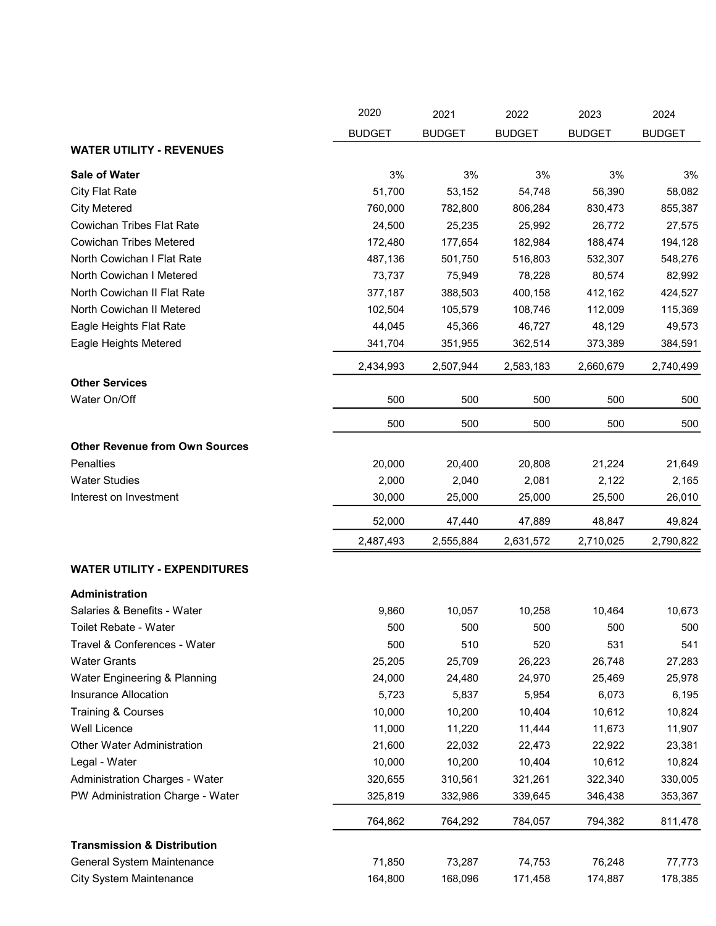|                                        | 2020          | 2021          | 2022          | 2023          | 2024          |
|----------------------------------------|---------------|---------------|---------------|---------------|---------------|
|                                        | <b>BUDGET</b> | <b>BUDGET</b> | <b>BUDGET</b> | <b>BUDGET</b> | <b>BUDGET</b> |
| <b>WATER UTILITY - REVENUES</b>        |               |               |               |               |               |
| Sale of Water                          | 3%            | 3%            | 3%            | 3%            | 3%            |
| <b>City Flat Rate</b>                  | 51,700        | 53,152        | 54,748        | 56,390        | 58,082        |
| <b>City Metered</b>                    | 760,000       | 782,800       | 806,284       | 830,473       | 855,387       |
| <b>Cowichan Tribes Flat Rate</b>       | 24,500        | 25,235        | 25,992        | 26,772        | 27,575        |
| <b>Cowichan Tribes Metered</b>         | 172,480       | 177,654       | 182,984       | 188,474       | 194,128       |
| North Cowichan I Flat Rate             | 487,136       | 501,750       | 516,803       | 532,307       | 548,276       |
| North Cowichan I Metered               | 73,737        | 75,949        | 78,228        | 80,574        | 82,992        |
| North Cowichan II Flat Rate            | 377,187       | 388,503       | 400,158       | 412,162       | 424,527       |
| North Cowichan II Metered              | 102,504       | 105,579       | 108,746       | 112,009       | 115,369       |
| Eagle Heights Flat Rate                | 44,045        | 45,366        | 46,727        | 48,129        | 49,573        |
| Eagle Heights Metered                  | 341,704       | 351,955       | 362,514       | 373,389       | 384,591       |
|                                        | 2,434,993     | 2,507,944     | 2,583,183     | 2,660,679     | 2,740,499     |
| <b>Other Services</b>                  |               |               |               |               |               |
| Water On/Off                           | 500           | 500           | 500           | 500           | 500           |
|                                        | 500           | 500           | 500           | 500           | 500           |
| <b>Other Revenue from Own Sources</b>  |               |               |               |               |               |
| <b>Penalties</b>                       | 20,000        | 20,400        | 20,808        | 21,224        | 21,649        |
| <b>Water Studies</b>                   | 2,000         | 2,040         | 2,081         | 2,122         | 2,165         |
| Interest on Investment                 | 30,000        | 25,000        | 25,000        | 25,500        | 26,010        |
|                                        | 52,000        | 47,440        | 47,889        | 48,847        | 49,824        |
|                                        | 2,487,493     | 2,555,884     | 2,631,572     | 2,710,025     | 2,790,822     |
| <b>WATER UTILITY - EXPENDITURES</b>    |               |               |               |               |               |
| Administration                         |               |               |               |               |               |
| Salaries & Benefits - Water            | 9,860         | 10,057        | 10,258        | 10,464        | 10,673        |
| Toilet Rebate - Water                  | 500           | 500           | 500           | 500           | 500           |
| Travel & Conferences - Water           | 500           | 510           | 520           | 531           | 541           |
| <b>Water Grants</b>                    | 25,205        | 25,709        | 26,223        | 26,748        | 27,283        |
| Water Engineering & Planning           | 24,000        | 24,480        | 24,970        | 25,469        | 25,978        |
| Insurance Allocation                   | 5,723         | 5,837         | 5,954         | 6,073         | 6,195         |
| <b>Training &amp; Courses</b>          | 10,000        | 10,200        | 10,404        | 10,612        | 10,824        |
| Well Licence                           | 11,000        | 11,220        | 11,444        | 11,673        | 11,907        |
| Other Water Administration             | 21,600        | 22,032        | 22,473        | 22,922        | 23,381        |
| Legal - Water                          | 10,000        | 10,200        | 10,404        | 10,612        | 10,824        |
| Administration Charges - Water         | 320,655       | 310,561       | 321,261       | 322,340       | 330,005       |
| PW Administration Charge - Water       | 325,819       | 332,986       | 339,645       | 346,438       | 353,367       |
|                                        | 764,862       | 764,292       | 784,057       | 794,382       | 811,478       |
| <b>Transmission &amp; Distribution</b> |               |               |               |               |               |
| General System Maintenance             | 71,850        | 73,287        | 74,753        | 76,248        | 77,773        |
| <b>City System Maintenance</b>         | 164,800       | 168,096       | 171,458       | 174,887       | 178,385       |
|                                        |               |               |               |               |               |